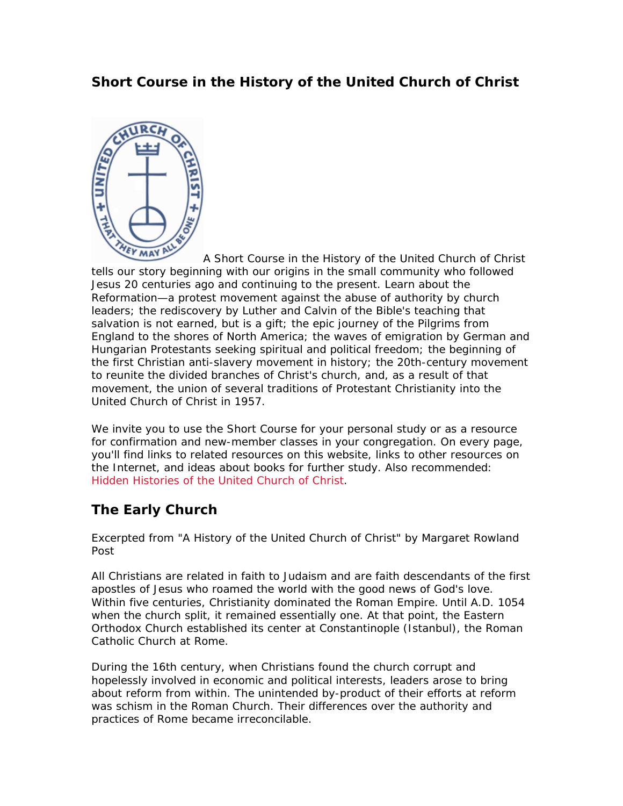# **Short Course in the History of the United Church of Christ**



A Short Course in the History of the United Church of Christ tells our story beginning with our origins in the small community who followed Jesus 20 centuries ago and continuing to the present. Learn about the Reformation—a protest movement against the abuse of authority by church leaders; the rediscovery by Luther and Calvin of the Bible's teaching that salvation is not earned, but is a gift; the epic journey of the Pilgrims from England to the shores of North America; the waves of emigration by German and Hungarian Protestants seeking spiritual and political freedom; the beginning of the first Christian anti-slavery movement in history; the 20th-century movement to reunite the divided branches of Christ's church, and, as a result of that movement, the union of several traditions of Protestant Christianity into the United Church of Christ in 1957.

We invite you to use the Short Course for your personal study or as a resource for confirmation and new-member classes in your congregation. On every page, you'll find links to related resources on this website, links to other resources on the Internet, and ideas about books for further study. Also recommended: [Hidden Histories of the United Church of Christ.](http://www.ucc.org/about-us/hidden-histories/)

# **The Early Church**

#### *Excerpted from "A History of the United Church of Christ" by Margaret Rowland Post*

All Christians are related in faith to Judaism and are faith descendants of the first apostles of Jesus who roamed the world with the good news of God's love. Within five centuries, Christianity dominated the Roman Empire. Until A.D. 1054 when the church split, it remained essentially one. At that point, the Eastern Orthodox Church established its center at Constantinople (Istanbul), the Roman Catholic Church at Rome.

During the 16th century, when Christians found the church corrupt and hopelessly involved in economic and political interests, leaders arose to bring about reform from within. The unintended by-product of their efforts at reform was schism in the Roman Church. Their differences over the authority and practices of Rome became irreconcilable.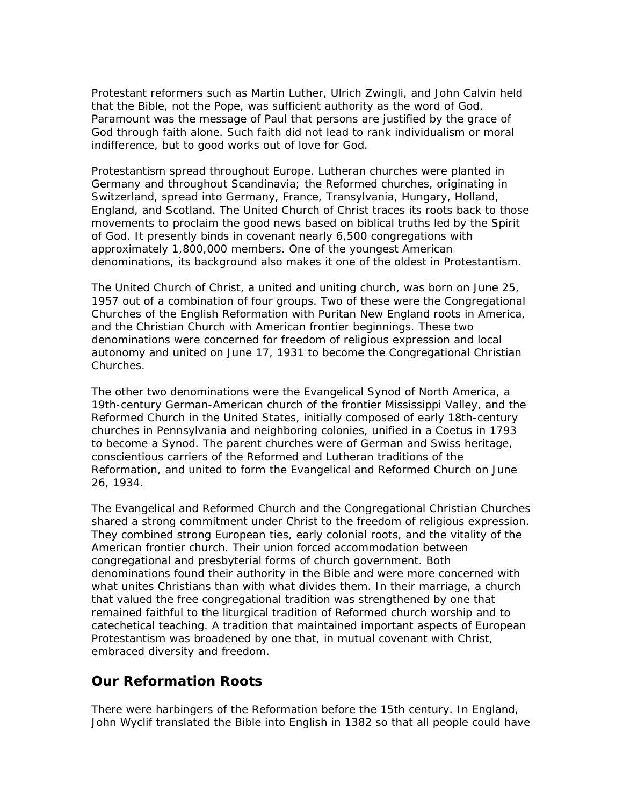Protestant reformers such as Martin Luther, Ulrich Zwingli, and John Calvin held that the Bible, not the Pope, was sufficient authority as the word of God. Paramount was the message of Paul that persons are justified by the grace of God through faith alone. Such faith did not lead to rank individualism or moral indifference, but to good works out of love for God.

Protestantism spread throughout Europe. Lutheran churches were planted in Germany and throughout Scandinavia; the Reformed churches, originating in Switzerland, spread into Germany, France, Transylvania, Hungary, Holland, England, and Scotland. The United Church of Christ traces its roots back to those movements to proclaim the good news based on biblical truths led by the Spirit of God. It presently binds in covenant nearly 6,500 congregations with approximately 1,800,000 members. One of the youngest American denominations, its background also makes it one of the oldest in Protestantism.

The United Church of Christ, a united and uniting church, was born on June 25, 1957 out of a combination of four groups. Two of these were the Congregational Churches of the English Reformation with Puritan New England roots in America, and the Christian Church with American frontier beginnings. These two denominations were concerned for freedom of religious expression and local autonomy and united on June 17, 1931 to become the Congregational Christian Churches.

The other two denominations were the Evangelical Synod of North America, a 19th-century German-American church of the frontier Mississippi Valley, and the Reformed Church in the United States, initially composed of early 18th-century churches in Pennsylvania and neighboring colonies, unified in a Coetus in 1793 to become a Synod. The parent churches were of German and Swiss heritage, conscientious carriers of the Reformed and Lutheran traditions of the Reformation, and united to form the Evangelical and Reformed Church on June 26, 1934.

The Evangelical and Reformed Church and the Congregational Christian Churches shared a strong commitment under Christ to the freedom of religious expression. They combined strong European ties, early colonial roots, and the vitality of the American frontier church. Their union forced accommodation between congregational and presbyterial forms of church government. Both denominations found their authority in the Bible and were more concerned with what unites Christians than with what divides them. In their marriage, a church that valued the free congregational tradition was strengthened by one that remained faithful to the liturgical tradition of Reformed church worship and to catechetical teaching. A tradition that maintained important aspects of European Protestantism was broadened by one that, in mutual covenant with Christ, embraced diversity and freedom.

## **Our Reformation Roots**

There were harbingers of the Reformation before the 15th century. In England, John Wyclif translated the Bible into English in 1382 so that all people could have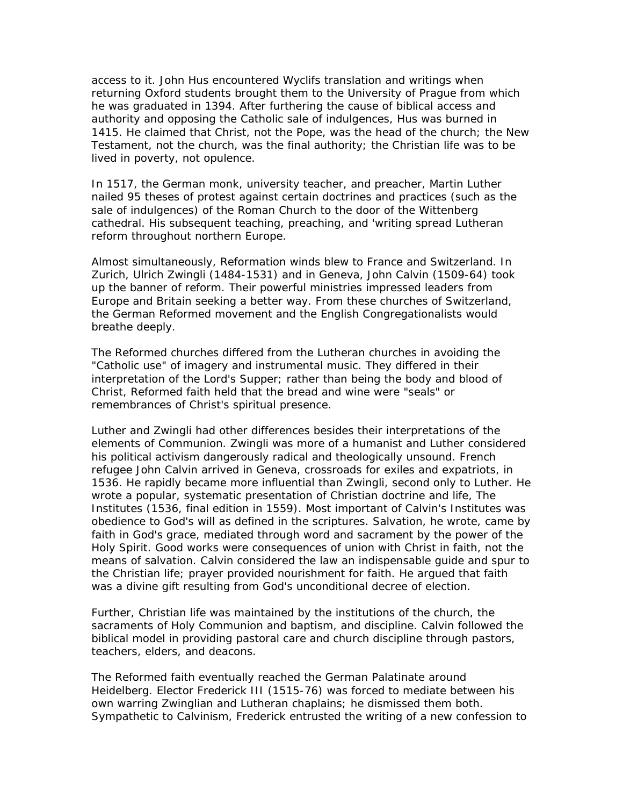access to it. John Hus encountered Wyclifs translation and writings when returning Oxford students brought them to the University of Prague from which he was graduated in 1394. After furthering the cause of biblical access and authority and opposing the Catholic sale of indulgences, Hus was burned in 1415. He claimed that Christ, not the Pope, was the head of the church; the New Testament, not the church, was the final authority; the Christian life was to be lived in poverty, not opulence.

In 1517, the German monk, university teacher, and preacher, Martin Luther nailed 95 theses of protest against certain doctrines and practices (such as the sale of indulgences) of the Roman Church to the door of the Wittenberg cathedral. His subsequent teaching, preaching, and 'writing spread Lutheran reform throughout northern Europe.

Almost simultaneously, Reformation winds blew to France and Switzerland. In Zurich, Ulrich Zwingli (1484-1531) and in Geneva, John Calvin (1509-64) took up the banner of reform. Their powerful ministries impressed leaders from Europe and Britain seeking a better way. From these churches of Switzerland, the German Reformed movement and the English Congregationalists would breathe deeply.

The Reformed churches differed from the Lutheran churches in avoiding the "Catholic use" of imagery and instrumental music. They differed in their interpretation of the Lord's Supper; rather than being the body and blood of Christ, Reformed faith held that the bread and wine were "seals" or remembrances of Christ's spiritual presence.

Luther and Zwingli had other differences besides their interpretations of the elements of Communion. Zwingli was more of a humanist and Luther considered his political activism dangerously radical and theologically unsound. French refugee John Calvin arrived in Geneva, crossroads for exiles and expatriots, in 1536. He rapidly became more influential than Zwingli, second only to Luther. He wrote a popular, systematic presentation of Christian doctrine and life, The Institutes (1536, final edition in 1559). Most important of Calvin's Institutes was obedience to God's will as defined in the scriptures. Salvation, he wrote, came by faith in God's grace, mediated through word and sacrament by the power of the Holy Spirit. Good works were consequences of union with Christ in faith, not the means of salvation. Calvin considered the law an indispensable guide and spur to the Christian life; prayer provided nourishment for faith. He argued that faith was a divine gift resulting from God's unconditional decree of election.

Further, Christian life was maintained by the institutions of the church, the sacraments of Holy Communion and baptism, and discipline. Calvin followed the biblical model in providing pastoral care and church discipline through pastors, teachers, elders, and deacons.

The Reformed faith eventually reached the German Palatinate around Heidelberg. Elector Frederick III (1515-76) was forced to mediate between his own warring Zwinglian and Lutheran chaplains; he dismissed them both. Sympathetic to Calvinism, Frederick entrusted the writing of a new confession to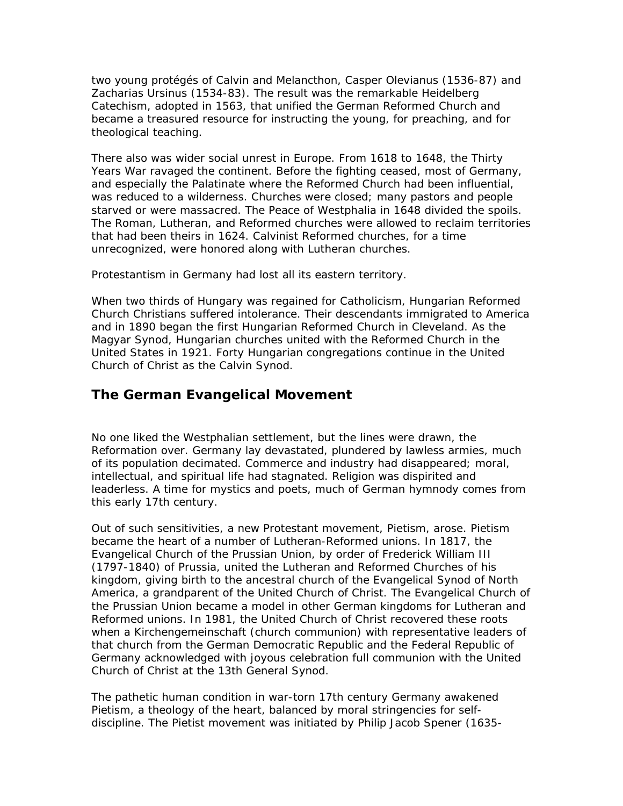two young protégés of Calvin and Melancthon, Casper Olevianus (1536-87) and Zacharias Ursinus (1534-83). The result was the remarkable Heidelberg Catechism, adopted in 1563, that unified the German Reformed Church and became a treasured resource for instructing the young, for preaching, and for theological teaching.

There also was wider social unrest in Europe. From 1618 to 1648, the Thirty Years War ravaged the continent. Before the fighting ceased, most of Germany, and especially the Palatinate where the Reformed Church had been influential, was reduced to a wilderness. Churches were closed; many pastors and people starved or were massacred. The Peace of Westphalia in 1648 divided the spoils. The Roman, Lutheran, and Reformed churches were allowed to reclaim territories that had been theirs in 1624. Calvinist Reformed churches, for a time unrecognized, were honored along with Lutheran churches.

Protestantism in Germany had lost all its eastern territory.

When two thirds of Hungary was regained for Catholicism, Hungarian Reformed Church Christians suffered intolerance. Their descendants immigrated to America and in 1890 began the first Hungarian Reformed Church in Cleveland. As the Magyar Synod, Hungarian churches united with the Reformed Church in the United States in 1921. Forty Hungarian congregations continue in the United Church of Christ as the Calvin Synod.

### **The German Evangelical Movement**

No one liked the Westphalian settlement, but the lines were drawn, the Reformation over. Germany lay devastated, plundered by lawless armies, much of its population decimated. Commerce and industry had disappeared; moral, intellectual, and spiritual life had stagnated. Religion was dispirited and leaderless. A time for mystics and poets, much of German hymnody comes from this early 17th century.

Out of such sensitivities, a new Protestant movement, Pietism, arose. Pietism became the heart of a number of Lutheran-Reformed unions. In 1817, the Evangelical Church of the Prussian Union, by order of Frederick William III (1797-1840) of Prussia, united the Lutheran and Reformed Churches of his kingdom, giving birth to the ancestral church of the Evangelical Synod of North America, a grandparent of the United Church of Christ. The Evangelical Church of the Prussian Union became a model in other German kingdoms for Lutheran and Reformed unions. In 1981, the United Church of Christ recovered these roots when a Kirchengemeinschaft (church communion) with representative leaders of that church from the German Democratic Republic and the Federal Republic of Germany acknowledged with joyous celebration full communion with the United Church of Christ at the 13th General Synod.

The pathetic human condition in war-torn 17th century Germany awakened Pietism, a theology of the heart, balanced by moral stringencies for selfdiscipline. The Pietist movement was initiated by Philip Jacob Spener (1635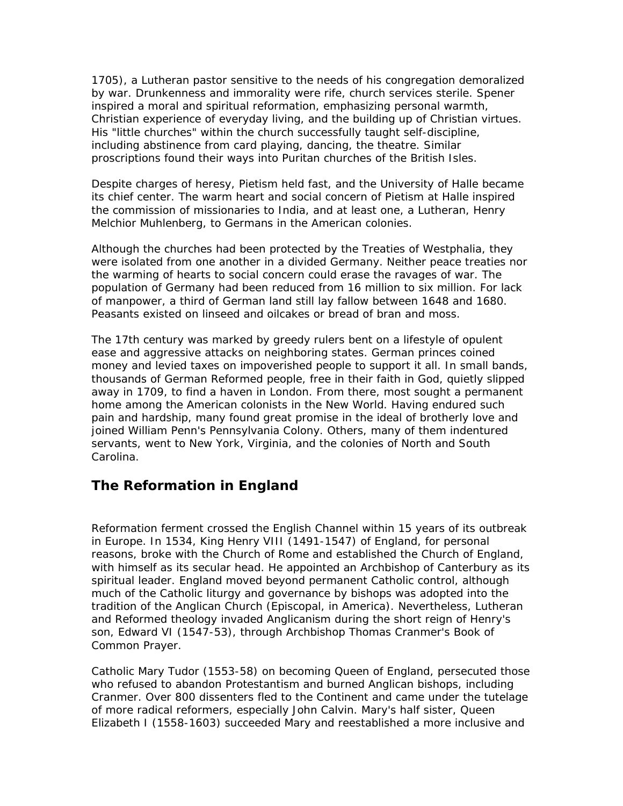1705), a Lutheran pastor sensitive to the needs of his congregation demoralized by war. Drunkenness and immorality were rife, church services sterile. Spener inspired a moral and spiritual reformation, emphasizing personal warmth, Christian experience of everyday living, and the building up of Christian virtues. His "little churches" within the church successfully taught self-discipline, including abstinence from card playing, dancing, the theatre. Similar proscriptions found their ways into Puritan churches of the British Isles.

Despite charges of heresy, Pietism held fast, and the University of Halle became its chief center. The warm heart and social concern of Pietism at Halle inspired the commission of missionaries to India, and at least one, a Lutheran, Henry Melchior Muhlenberg, to Germans in the American colonies.

Although the churches had been protected by the Treaties of Westphalia, they were isolated from one another in a divided Germany. Neither peace treaties nor the warming of hearts to social concern could erase the ravages of war. The population of Germany had been reduced from 16 million to six million. For lack of manpower, a third of German land still lay fallow between 1648 and 1680. Peasants existed on linseed and oilcakes or bread of bran and moss.

The 17th century was marked by greedy rulers bent on a lifestyle of opulent ease and aggressive attacks on neighboring states. German princes coined money and levied taxes on impoverished people to support it all. In small bands, thousands of German Reformed people, free in their faith in God, quietly slipped away in 1709, to find a haven in London. From there, most sought a permanent home among the American colonists in the New World. Having endured such pain and hardship, many found great promise in the ideal of brotherly love and joined William Penn's Pennsylvania Colony. Others, many of them indentured servants, went to New York, Virginia, and the colonies of North and South Carolina.

# **The Reformation in England**

Reformation ferment crossed the English Channel within 15 years of its outbreak in Europe. In 1534, King Henry VIII (1491-1547) of England, for personal reasons, broke with the Church of Rome and established the Church of England, with himself as its secular head. He appointed an Archbishop of Canterbury as its spiritual leader. England moved beyond permanent Catholic control, although much of the Catholic liturgy and governance by bishops was adopted into the tradition of the Anglican Church (Episcopal, in America). Nevertheless, Lutheran and Reformed theology invaded Anglicanism during the short reign of Henry's son, Edward VI (1547-53), through Archbishop Thomas Cranmer's Book of Common Prayer.

Catholic Mary Tudor (1553-58) on becoming Queen of England, persecuted those who refused to abandon Protestantism and burned Anglican bishops, including Cranmer. Over 800 dissenters fled to the Continent and came under the tutelage of more radical reformers, especially John Calvin. Mary's half sister, Queen Elizabeth I (1558-1603) succeeded Mary and reestablished a more inclusive and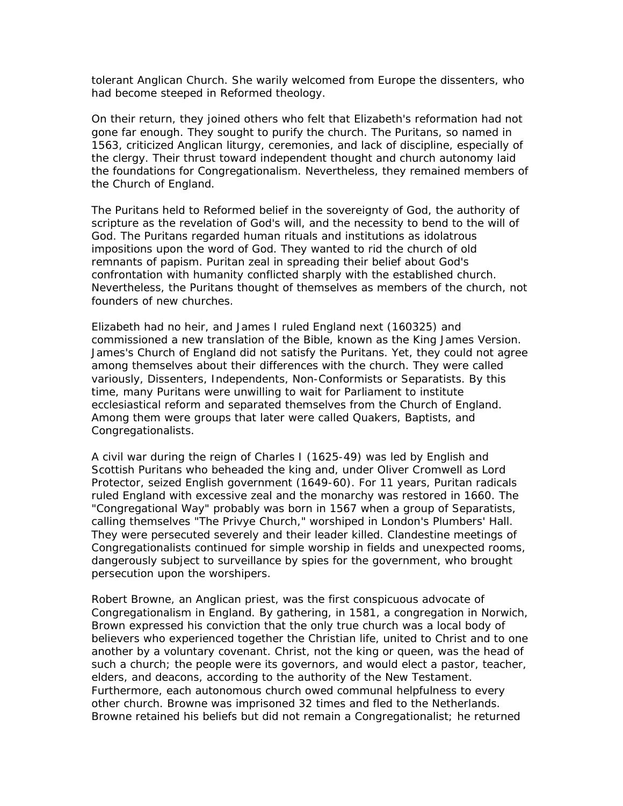tolerant Anglican Church. She warily welcomed from Europe the dissenters, who had become steeped in Reformed theology.

On their return, they joined others who felt that Elizabeth's reformation had not gone far enough. They sought to purify the church. The Puritans, so named in 1563, criticized Anglican liturgy, ceremonies, and lack of discipline, especially of the clergy. Their thrust toward independent thought and church autonomy laid the foundations for Congregationalism. Nevertheless, they remained members of the Church of England.

The Puritans held to Reformed belief in the sovereignty of God, the authority of scripture as the revelation of God's will, and the necessity to bend to the will of God. The Puritans regarded human rituals and institutions as idolatrous impositions upon the word of God. They wanted to rid the church of old remnants of papism. Puritan zeal in spreading their belief about God's confrontation with humanity conflicted sharply with the established church. Nevertheless, the Puritans thought of themselves as members of the church, not founders of new churches.

Elizabeth had no heir, and James I ruled England next (160325) and commissioned a new translation of the Bible, known as the King James Version. James's Church of England did not satisfy the Puritans. Yet, they could not agree among themselves about their differences with the church. They were called variously, Dissenters, Independents, Non-Conformists or Separatists. By this time, many Puritans were unwilling to wait for Parliament to institute ecclesiastical reform and separated themselves from the Church of England. Among them were groups that later were called Quakers, Baptists, and Congregationalists.

A civil war during the reign of Charles I (1625-49) was led by English and Scottish Puritans who beheaded the king and, under Oliver Cromwell as Lord Protector, seized English government (1649-60). For 11 years, Puritan radicals ruled England with excessive zeal and the monarchy was restored in 1660. The "Congregational Way" probably was born in 1567 when a group of Separatists, calling themselves "The Privye Church," worshiped in London's Plumbers' Hall. They were persecuted severely and their leader killed. Clandestine meetings of Congregationalists continued for simple worship in fields and unexpected rooms, dangerously subject to surveillance by spies for the government, who brought persecution upon the worshipers.

Robert Browne, an Anglican priest, was the first conspicuous advocate of Congregationalism in England. By gathering, in 1581, a congregation in Norwich, Brown expressed his conviction that the only true church was a local body of believers who experienced together the Christian life, united to Christ and to one another by a voluntary covenant. Christ, not the king or queen, was the head of such a church; the people were its governors, and would elect a pastor, teacher, elders, and deacons, according to the authority of the New Testament. Furthermore, each autonomous church owed communal helpfulness to every other church. Browne was imprisoned 32 times and fled to the Netherlands. Browne retained his beliefs but did not remain a Congregationalist; he returned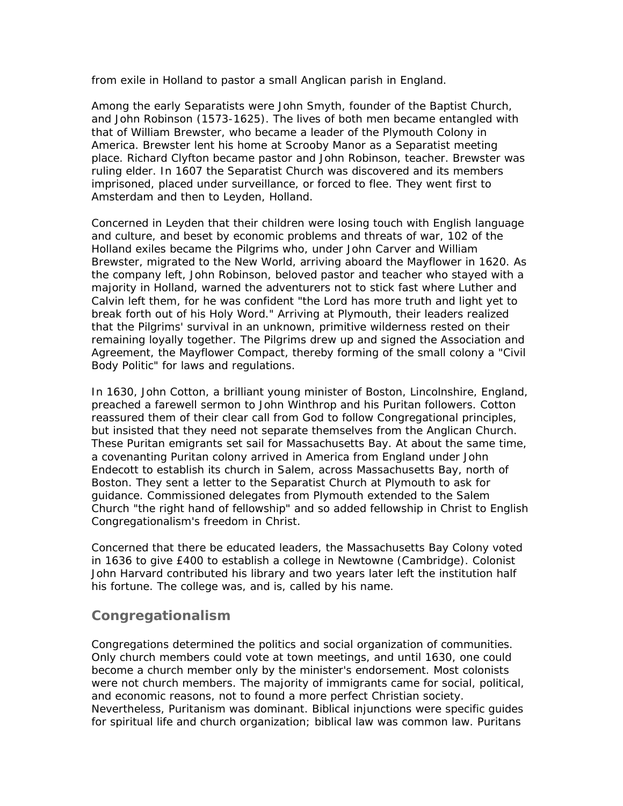from exile in Holland to pastor a small Anglican parish in England.

Among the early Separatists were John Smyth, founder of the Baptist Church, and John Robinson (1573-1625). The lives of both men became entangled with that of William Brewster, who became a leader of the Plymouth Colony in America. Brewster lent his home at Scrooby Manor as a Separatist meeting place. Richard Clyfton became pastor and John Robinson, teacher. Brewster was ruling elder. In 1607 the Separatist Church was discovered and its members imprisoned, placed under surveillance, or forced to flee. They went first to Amsterdam and then to Leyden, Holland.

Concerned in Leyden that their children were losing touch with English language and culture, and beset by economic problems and threats of war, 102 of the Holland exiles became the Pilgrims who, under John Carver and William Brewster, migrated to the New World, arriving aboard the Mayflower in 1620. As the company left, John Robinson, beloved pastor and teacher who stayed with a majority in Holland, warned the adventurers not to stick fast where Luther and Calvin left them, for he was confident "the Lord has more truth and light yet to break forth out of his Holy Word." Arriving at Plymouth, their leaders realized that the Pilgrims' survival in an unknown, primitive wilderness rested on their remaining loyally together. The Pilgrims drew up and signed the Association and Agreement, the Mayflower Compact, thereby forming of the small colony a "Civil Body Politic" for laws and regulations.

In 1630, John Cotton, a brilliant young minister of Boston, Lincolnshire, England, preached a farewell sermon to John Winthrop and his Puritan followers. Cotton reassured them of their clear call from God to follow Congregational principles, but insisted that they need not separate themselves from the Anglican Church. These Puritan emigrants set sail for Massachusetts Bay. At about the same time, a covenanting Puritan colony arrived in America from England under John Endecott to establish its church in Salem, across Massachusetts Bay, north of Boston. They sent a letter to the Separatist Church at Plymouth to ask for guidance. Commissioned delegates from Plymouth extended to the Salem Church "the right hand of fellowship" and so added fellowship in Christ to English Congregationalism's freedom in Christ.

Concerned that there be educated leaders, the Massachusetts Bay Colony voted in 1636 to give £400 to establish a college in Newtowne (Cambridge). Colonist John Harvard contributed his library and two years later left the institution half his fortune. The college was, and is, called by his name.

#### **Congregationalism**

Congregations determined the politics and social organization of communities. Only church members could vote at town meetings, and until 1630, one could become a church member only by the minister's endorsement. Most colonists were not church members. The majority of immigrants came for social, political, and economic reasons, not to found a more perfect Christian society. Nevertheless, Puritanism was dominant. Biblical injunctions were specific guides for spiritual life and church organization; biblical law was common law. Puritans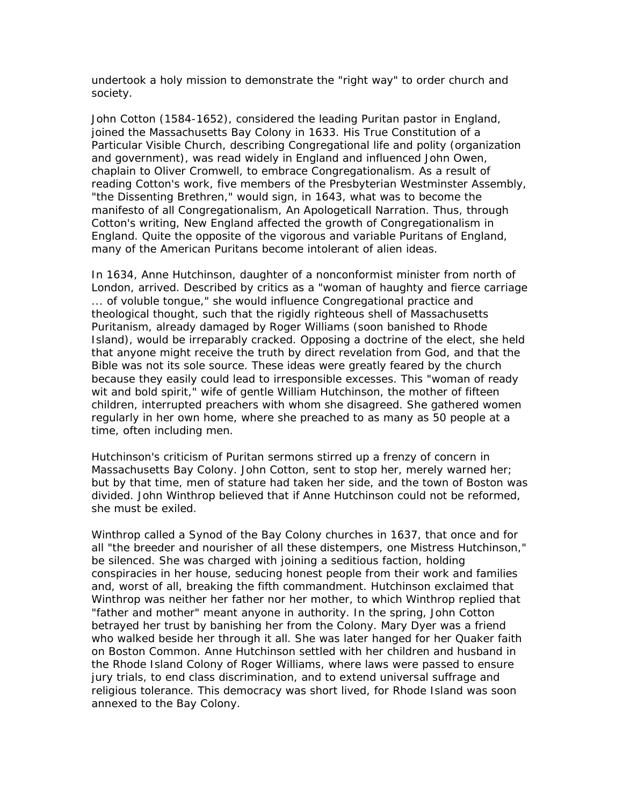undertook a holy mission to demonstrate the "right way" to order church and society.

John Cotton (1584-1652), considered the leading Puritan pastor in England, joined the Massachusetts Bay Colony in 1633. His True Constitution of a Particular Visible Church, describing Congregational life and polity (organization and government), was read widely in England and influenced John Owen, chaplain to Oliver Cromwell, to embrace Congregationalism. As a result of reading Cotton's work, five members of the Presbyterian Westminster Assembly, "the Dissenting Brethren," would sign, in 1643, what was to become the manifesto of all Congregationalism, An Apologeticall Narration. Thus, through Cotton's writing, New England affected the growth of Congregationalism in England. Quite the opposite of the vigorous and variable Puritans of England, many of the American Puritans become intolerant of alien ideas.

In 1634, Anne Hutchinson, daughter of a nonconformist minister from north of London, arrived. Described by critics as a "woman of haughty and fierce carriage ... of voluble tongue," she would influence Congregational practice and theological thought, such that the rigidly righteous shell of Massachusetts Puritanism, already damaged by Roger Williams (soon banished to Rhode Island), would be irreparably cracked. Opposing a doctrine of the elect, she held that anyone might receive the truth by direct revelation from God, and that the Bible was not its sole source. These ideas were greatly feared by the church because they easily could lead to irresponsible excesses. This "woman of ready wit and bold spirit," wife of gentle William Hutchinson, the mother of fifteen children, interrupted preachers with whom she disagreed. She gathered women regularly in her own home, where she preached to as many as 50 people at a time, often including men.

Hutchinson's criticism of Puritan sermons stirred up a frenzy of concern in Massachusetts Bay Colony. John Cotton, sent to stop her, merely warned her; but by that time, men of stature had taken her side, and the town of Boston was divided. John Winthrop believed that if Anne Hutchinson could not be reformed, she must be exiled.

Winthrop called a Synod of the Bay Colony churches in 1637, that once and for all "the breeder and nourisher of all these distempers, one Mistress Hutchinson," be silenced. She was charged with joining a seditious faction, holding conspiracies in her house, seducing honest people from their work and families and, worst of all, breaking the fifth commandment. Hutchinson exclaimed that Winthrop was neither her father nor her mother, to which Winthrop replied that "father and mother" meant anyone in authority. In the spring, John Cotton betrayed her trust by banishing her from the Colony. Mary Dyer was a friend who walked beside her through it all. She was later hanged for her Quaker faith on Boston Common. Anne Hutchinson settled with her children and husband in the Rhode Island Colony of Roger Williams, where laws were passed to ensure jury trials, to end class discrimination, and to extend universal suffrage and religious tolerance. This democracy was short lived, for Rhode Island was soon annexed to the Bay Colony.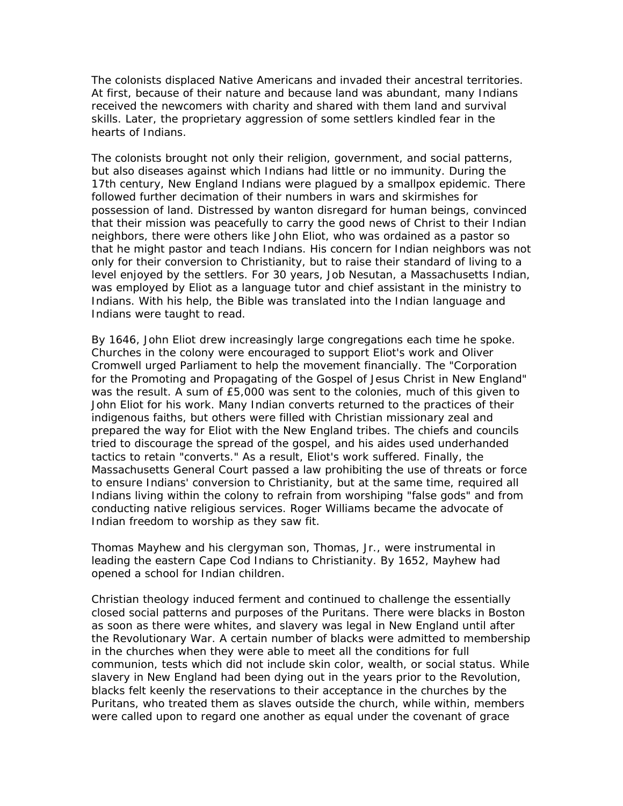The colonists displaced Native Americans and invaded their ancestral territories. At first, because of their nature and because land was abundant, many Indians received the newcomers with charity and shared with them land and survival skills. Later, the proprietary aggression of some settlers kindled fear in the hearts of Indians.

The colonists brought not only their religion, government, and social patterns, but also diseases against which Indians had little or no immunity. During the 17th century, New England Indians were plagued by a smallpox epidemic. There followed further decimation of their numbers in wars and skirmishes for possession of land. Distressed by wanton disregard for human beings, convinced that their mission was peacefully to carry the good news of Christ to their Indian neighbors, there were others like John Eliot, who was ordained as a pastor so that he might pastor and teach Indians. His concern for Indian neighbors was not only for their conversion to Christianity, but to raise their standard of living to a level enjoyed by the settlers. For 30 years, Job Nesutan, a Massachusetts Indian, was employed by Eliot as a language tutor and chief assistant in the ministry to Indians. With his help, the Bible was translated into the Indian language and Indians were taught to read.

By 1646, John Eliot drew increasingly large congregations each time he spoke. Churches in the colony were encouraged to support Eliot's work and Oliver Cromwell urged Parliament to help the movement financially. The "Corporation for the Promoting and Propagating of the Gospel of Jesus Christ in New England" was the result. A sum of £5,000 was sent to the colonies, much of this given to John Eliot for his work. Many Indian converts returned to the practices of their indigenous faiths, but others were filled with Christian missionary zeal and prepared the way for Eliot with the New England tribes. The chiefs and councils tried to discourage the spread of the gospel, and his aides used underhanded tactics to retain "converts." As a result, Eliot's work suffered. Finally, the Massachusetts General Court passed a law prohibiting the use of threats or force to ensure Indians' conversion to Christianity, but at the same time, required all Indians living within the colony to refrain from worshiping "false gods" and from conducting native religious services. Roger Williams became the advocate of Indian freedom to worship as they saw fit.

Thomas Mayhew and his clergyman son, Thomas, Jr., were instrumental in leading the eastern Cape Cod Indians to Christianity. By 1652, Mayhew had opened a school for Indian children.

Christian theology induced ferment and continued to challenge the essentially closed social patterns and purposes of the Puritans. There were blacks in Boston as soon as there were whites, and slavery was legal in New England until after the Revolutionary War. A certain number of blacks were admitted to membership in the churches when they were able to meet all the conditions for full communion, tests which did not include skin color, wealth, or social status. While slavery in New England had been dying out in the years prior to the Revolution, blacks felt keenly the reservations to their acceptance in the churches by the Puritans, who treated them as slaves outside the church, while within, members were called upon to regard one another as equal under the covenant of grace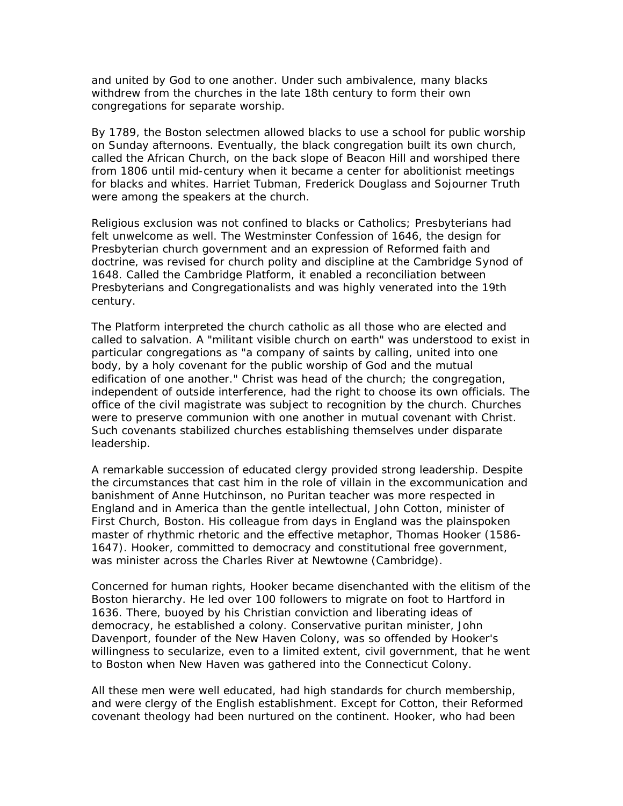and united by God to one another. Under such ambivalence, many blacks withdrew from the churches in the late 18th century to form their own congregations for separate worship.

By 1789, the Boston selectmen allowed blacks to use a school for public worship on Sunday afternoons. Eventually, the black congregation built its own church, called the African Church, on the back slope of Beacon Hill and worshiped there from 1806 until mid-century when it became a center for abolitionist meetings for blacks and whites. Harriet Tubman, Frederick Douglass and Sojourner Truth were among the speakers at the church.

Religious exclusion was not confined to blacks or Catholics; Presbyterians had felt unwelcome as well. The Westminster Confession of 1646, the design for Presbyterian church government and an expression of Reformed faith and doctrine, was revised for church polity and discipline at the Cambridge Synod of 1648. Called the Cambridge Platform, it enabled a reconciliation between Presbyterians and Congregationalists and was highly venerated into the 19th century.

The Platform interpreted the church catholic as all those who are elected and called to salvation. A "militant visible church on earth" was understood to exist in particular congregations as "a company of saints by calling, united into one body, by a holy covenant for the public worship of God and the mutual edification of one another." Christ was head of the church; the congregation, independent of outside interference, had the right to choose its own officials. The office of the civil magistrate was subject to recognition by the church. Churches were to preserve communion with one another in mutual covenant with Christ. Such covenants stabilized churches establishing themselves under disparate leadership.

A remarkable succession of educated clergy provided strong leadership. Despite the circumstances that cast him in the role of villain in the excommunication and banishment of Anne Hutchinson, no Puritan teacher was more respected in England and in America than the gentle intellectual, John Cotton, minister of First Church, Boston. His colleague from days in England was the plainspoken master of rhythmic rhetoric and the effective metaphor, Thomas Hooker (1586- 1647). Hooker, committed to democracy and constitutional free government, was minister across the Charles River at Newtowne (Cambridge).

Concerned for human rights, Hooker became disenchanted with the elitism of the Boston hierarchy. He led over 100 followers to migrate on foot to Hartford in 1636. There, buoyed by his Christian conviction and liberating ideas of democracy, he established a colony. Conservative puritan minister, John Davenport, founder of the New Haven Colony, was so offended by Hooker's willingness to secularize, even to a limited extent, civil government, that he went to Boston when New Haven was gathered into the Connecticut Colony.

All these men were well educated, had high standards for church membership, and were clergy of the English establishment. Except for Cotton, their Reformed covenant theology had been nurtured on the continent. Hooker, who had been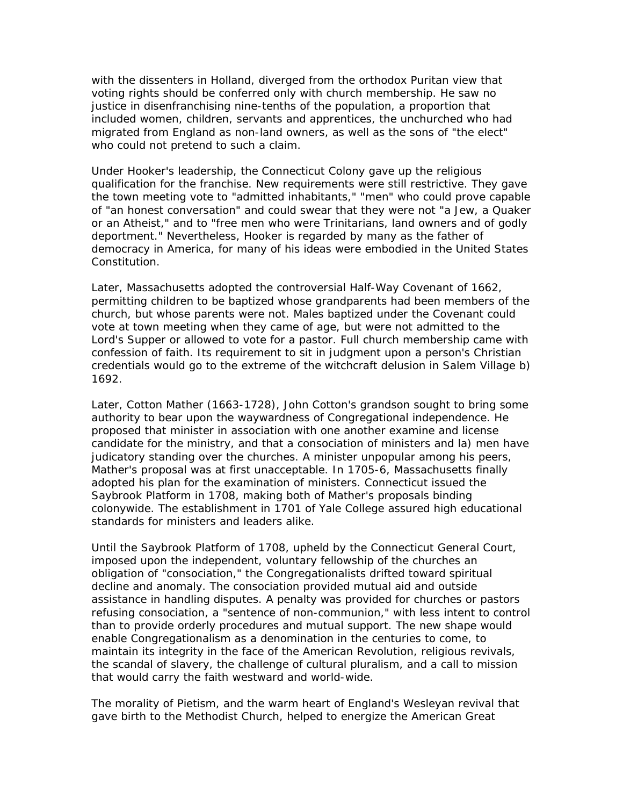with the dissenters in Holland, diverged from the orthodox Puritan view that voting rights should be conferred only with church membership. He saw no justice in disenfranchising nine-tenths of the population, a proportion that included women, children, servants and apprentices, the unchurched who had migrated from England as non-land owners, as well as the sons of "the elect" who could not pretend to such a claim.

Under Hooker's leadership, the Connecticut Colony gave up the religious qualification for the franchise. New requirements were still restrictive. They gave the town meeting vote to "admitted inhabitants," "men" who could prove capable of "an honest conversation" and could swear that they were not "a Jew, a Quaker or an Atheist," and to "free men who were Trinitarians, land owners and of godly deportment." Nevertheless, Hooker is regarded by many as the father of democracy in America, for many of his ideas were embodied in the United States Constitution.

Later, Massachusetts adopted the controversial Half-Way Covenant of 1662, permitting children to be baptized whose grandparents had been members of the church, but whose parents were not. Males baptized under the Covenant could vote at town meeting when they came of age, but were not admitted to the Lord's Supper or allowed to vote for a pastor. Full church membership came with confession of faith. Its requirement to sit in judgment upon a person's Christian credentials would go to the extreme of the witchcraft delusion in Salem Village b) 1692.

Later, Cotton Mather (1663-1728), John Cotton's grandson sought to bring some authority to bear upon the waywardness of Congregational independence. He proposed that minister in association with one another examine and license candidate for the ministry, and that a consociation of ministers and la) men have judicatory standing over the churches. A minister unpopular among his peers, Mather's proposal was at first unacceptable. In 1705-6, Massachusetts finally adopted his plan for the examination of ministers. Connecticut issued the Saybrook Platform in 1708, making both of Mather's proposals binding colonywide. The establishment in 1701 of Yale College assured high educational standards for ministers and leaders alike.

Until the Saybrook Platform of 1708, upheld by the Connecticut General Court, imposed upon the independent, voluntary fellowship of the churches an obligation of "consociation," the Congregationalists drifted toward spiritual decline and anomaly. The consociation provided mutual aid and outside assistance in handling disputes. A penalty was provided for churches or pastors refusing consociation, a "sentence of non-communion," with less intent to control than to provide orderly procedures and mutual support. The new shape would enable Congregationalism as a denomination in the centuries to come, to maintain its integrity in the face of the American Revolution, religious revivals, the scandal of slavery, the challenge of cultural pluralism, and a call to mission that would carry the faith westward and world-wide.

The morality of Pietism, and the warm heart of England's Wesleyan revival that gave birth to the Methodist Church, helped to energize the American Great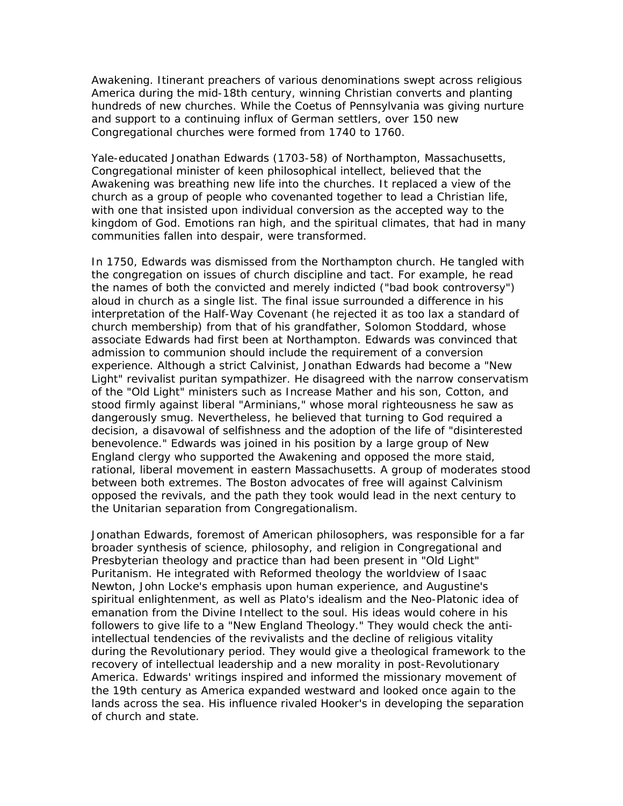Awakening. Itinerant preachers of various denominations swept across religious America during the mid-18th century, winning Christian converts and planting hundreds of new churches. While the Coetus of Pennsylvania was giving nurture and support to a continuing influx of German settlers, over 150 new Congregational churches were formed from 1740 to 1760.

Yale-educated Jonathan Edwards (1703-58) of Northampton, Massachusetts, Congregational minister of keen philosophical intellect, believed that the Awakening was breathing new life into the churches. It replaced a view of the church as a group of people who covenanted together to lead a Christian life, with one that insisted upon individual conversion as the accepted way to the kingdom of God. Emotions ran high, and the spiritual climates, that had in many communities fallen into despair, were transformed.

In 1750, Edwards was dismissed from the Northampton church. He tangled with the congregation on issues of church discipline and tact. For example, he read the names of both the convicted and merely indicted ("bad book controversy") aloud in church as a single list. The final issue surrounded a difference in his interpretation of the Half-Way Covenant (he rejected it as too lax a standard of church membership) from that of his grandfather, Solomon Stoddard, whose associate Edwards had first been at Northampton. Edwards was convinced that admission to communion should include the requirement of a conversion experience. Although a strict Calvinist, Jonathan Edwards had become a "New Light" revivalist puritan sympathizer. He disagreed with the narrow conservatism of the "Old Light" ministers such as Increase Mather and his son, Cotton, and stood firmly against liberal "Arminians," whose moral righteousness he saw as dangerously smug. Nevertheless, he believed that turning to God required a decision, a disavowal of selfishness and the adoption of the life of "disinterested benevolence." Edwards was joined in his position by a large group of New England clergy who supported the Awakening and opposed the more staid, rational, liberal movement in eastern Massachusetts. A group of moderates stood between both extremes. The Boston advocates of free will against Calvinism opposed the revivals, and the path they took would lead in the next century to the Unitarian separation from Congregationalism.

Jonathan Edwards, foremost of American philosophers, was responsible for a far broader synthesis of science, philosophy, and religion in Congregational and Presbyterian theology and practice than had been present in "Old Light" Puritanism. He integrated with Reformed theology the worldview of Isaac Newton, John Locke's emphasis upon human experience, and Augustine's spiritual enlightenment, as well as Plato's idealism and the Neo-Platonic idea of emanation from the Divine Intellect to the soul. His ideas would cohere in his followers to give life to a "New England Theology." They would check the antiintellectual tendencies of the revivalists and the decline of religious vitality during the Revolutionary period. They would give a theological framework to the recovery of intellectual leadership and a new morality in post-Revolutionary America. Edwards' writings inspired and informed the missionary movement of the 19th century as America expanded westward and looked once again to the lands across the sea. His influence rivaled Hooker's in developing the separation of church and state.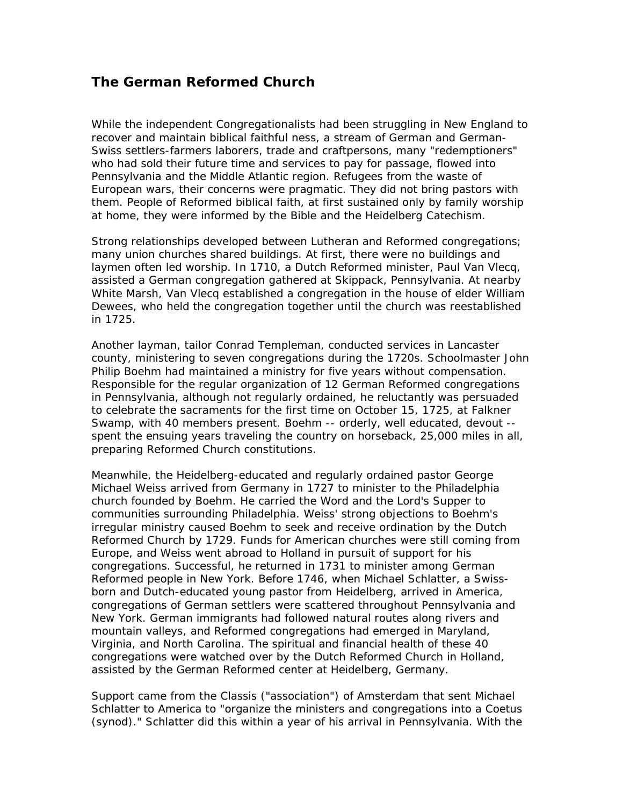## **The German Reformed Church**

While the independent Congregationalists had been struggling in New England to recover and maintain biblical faithful ness, a stream of German and German-Swiss settlers-farmers laborers, trade and craftpersons, many "redemptioners" who had sold their future time and services to pay for passage, flowed into Pennsylvania and the Middle Atlantic region. Refugees from the waste of European wars, their concerns were pragmatic. They did not bring pastors with them. People of Reformed biblical faith, at first sustained only by family worship at home, they were informed by the Bible and the Heidelberg Catechism.

Strong relationships developed between Lutheran and Reformed congregations; many union churches shared buildings. At first, there were no buildings and laymen often led worship. In 1710, a Dutch Reformed minister, Paul Van Vlecq, assisted a German congregation gathered at Skippack, Pennsylvania. At nearby White Marsh, Van Vlecq established a congregation in the house of elder William Dewees, who held the congregation together until the church was reestablished in 1725.

Another layman, tailor Conrad Templeman, conducted services in Lancaster county, ministering to seven congregations during the 1720s. Schoolmaster John Philip Boehm had maintained a ministry for five years without compensation. Responsible for the regular organization of 12 German Reformed congregations in Pennsylvania, although not regularly ordained, he reluctantly was persuaded to celebrate the sacraments for the first time on October 15, 1725, at Falkner Swamp, with 40 members present. Boehm -- orderly, well educated, devout - spent the ensuing years traveling the country on horseback, 25,000 miles in all, preparing Reformed Church constitutions.

Meanwhile, the Heidelberg-educated and regularly ordained pastor George Michael Weiss arrived from Germany in 1727 to minister to the Philadelphia church founded by Boehm. He carried the Word and the Lord's Supper to communities surrounding Philadelphia. Weiss' strong objections to Boehm's irregular ministry caused Boehm to seek and receive ordination by the Dutch Reformed Church by 1729. Funds for American churches were still coming from Europe, and Weiss went abroad to Holland in pursuit of support for his congregations. Successful, he returned in 1731 to minister among German Reformed people in New York. Before 1746, when Michael Schlatter, a Swissborn and Dutch-educated young pastor from Heidelberg, arrived in America, congregations of German settlers were scattered throughout Pennsylvania and New York. German immigrants had followed natural routes along rivers and mountain valleys, and Reformed congregations had emerged in Maryland, Virginia, and North Carolina. The spiritual and financial health of these 40 congregations were watched over by the Dutch Reformed Church in Holland, assisted by the German Reformed center at Heidelberg, Germany.

Support came from the Classis ("association") of Amsterdam that sent Michael Schlatter to America to "organize the ministers and congregations into a Coetus (synod)." Schlatter did this within a year of his arrival in Pennsylvania. With the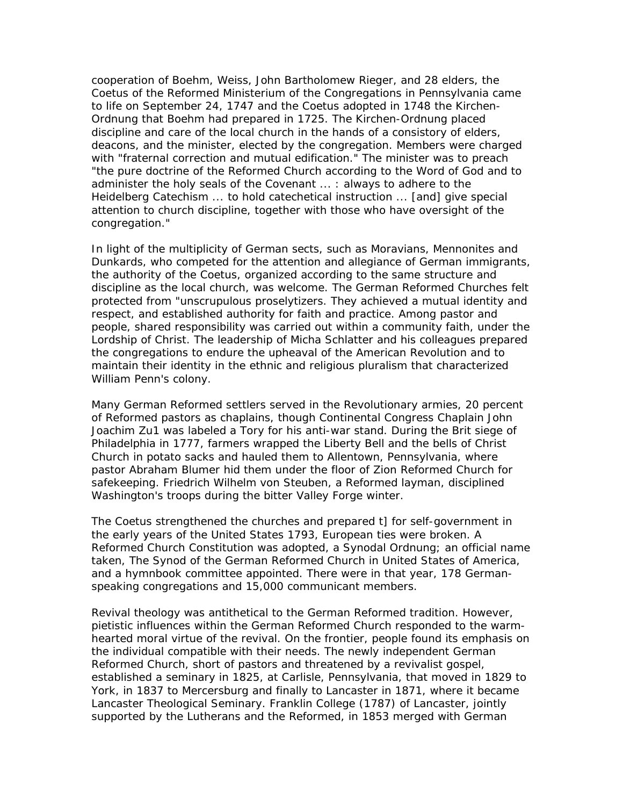cooperation of Boehm, Weiss, John Bartholomew Rieger, and 28 elders, the Coetus of the Reformed Ministerium of the Congregations in Pennsylvania came to life on September 24, 1747 and the Coetus adopted in 1748 the Kirchen-Ordnung that Boehm had prepared in 1725. The Kirchen-Ordnung placed discipline and care of the local church in the hands of a consistory of elders, deacons, and the minister, elected by the congregation. Members were charged with "fraternal correction and mutual edification." The minister was to preach "the pure doctrine of the Reformed Church according to the Word of God and to administer the holy seals of the Covenant ... : always to adhere to the Heidelberg Catechism ... to hold catechetical instruction ... [and] give special attention to church discipline, together with those who have oversight of the congregation."

In light of the multiplicity of German sects, such as Moravians, Mennonites and Dunkards, who competed for the attention and allegiance of German immigrants, the authority of the Coetus, organized according to the same structure and discipline as the local church, was welcome. The German Reformed Churches felt protected from "unscrupulous proselytizers. They achieved a mutual identity and respect, and established authority for faith and practice. Among pastor and people, shared responsibility was carried out within a community faith, under the Lordship of Christ. The leadership of Micha Schlatter and his colleagues prepared the congregations to endure the upheaval of the American Revolution and to maintain their identity in the ethnic and religious pluralism that characterized William Penn's colony.

Many German Reformed settlers served in the Revolutionary armies, 20 percent of Reformed pastors as chaplains, though Continental Congress Chaplain John Joachim Zu1 was labeled a Tory for his anti-war stand. During the Brit siege of Philadelphia in 1777, farmers wrapped the Liberty Bell and the bells of Christ Church in potato sacks and hauled them to Allentown, Pennsylvania, where pastor Abraham Blumer hid them under the floor of Zion Reformed Church for safekeeping. Friedrich Wilhelm von Steuben, a Reformed layman, disciplined Washington's troops during the bitter Valley Forge winter.

The Coetus strengthened the churches and prepared t] for self-government in the early years of the United States 1793, European ties were broken. A Reformed Church Constitution was adopted, a Synodal Ordnung; an official name taken, The Synod of the German Reformed Church in United States of America, and a hymnbook committee appointed. There were in that year, 178 Germanspeaking congregations and 15,000 communicant members.

Revival theology was antithetical to the German Reformed tradition. However, pietistic influences within the German Reformed Church responded to the warmhearted moral virtue of the revival. On the frontier, people found its emphasis on the individual compatible with their needs. The newly independent German Reformed Church, short of pastors and threatened by a revivalist gospel, established a seminary in 1825, at Carlisle, Pennsylvania, that moved in 1829 to York, in 1837 to Mercersburg and finally to Lancaster in 1871, where it became Lancaster Theological Seminary. Franklin College (1787) of Lancaster, jointly supported by the Lutherans and the Reformed, in 1853 merged with German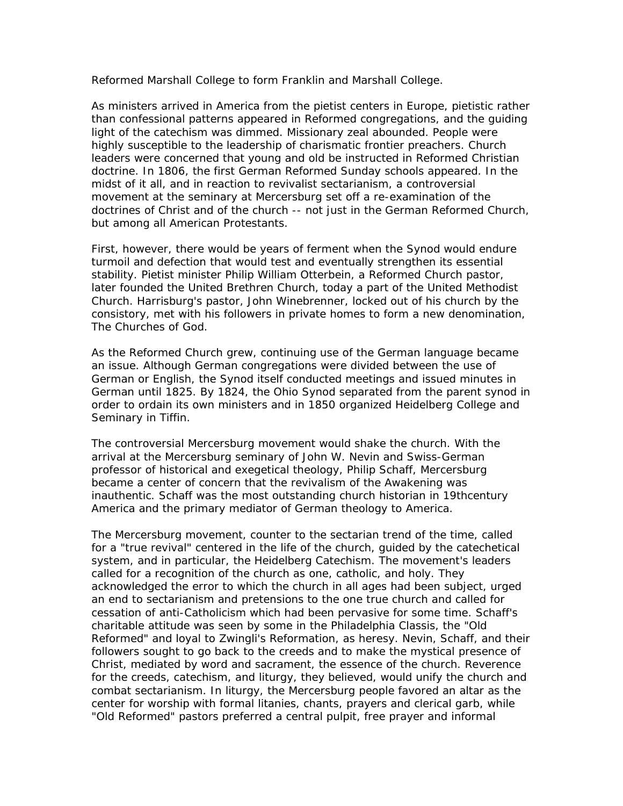Reformed Marshall College to form Franklin and Marshall College.

As ministers arrived in America from the pietist centers in Europe, pietistic rather than confessional patterns appeared in Reformed congregations, and the guiding light of the catechism was dimmed. Missionary zeal abounded. People were highly susceptible to the leadership of charismatic frontier preachers. Church leaders were concerned that young and old be instructed in Reformed Christian doctrine. In 1806, the first German Reformed Sunday schools appeared. In the midst of it all, and in reaction to revivalist sectarianism, a controversial movement at the seminary at Mercersburg set off a re-examination of the doctrines of Christ and of the church -- not just in the German Reformed Church, but among all American Protestants.

First, however, there would be years of ferment when the Synod would endure turmoil and defection that would test and eventually strengthen its essential stability. Pietist minister Philip William Otterbein, a Reformed Church pastor, later founded the United Brethren Church, today a part of the United Methodist Church. Harrisburg's pastor, John Winebrenner, locked out of his church by the consistory, met with his followers in private homes to form a new denomination, The Churches of God.

As the Reformed Church grew, continuing use of the German language became an issue. Although German congregations were divided between the use of German or English, the Synod itself conducted meetings and issued minutes in German until 1825. By 1824, the Ohio Synod separated from the parent synod in order to ordain its own ministers and in 1850 organized Heidelberg College and Seminary in Tiffin.

The controversial Mercersburg movement would shake the church. With the arrival at the Mercersburg seminary of John W. Nevin and Swiss-German professor of historical and exegetical theology, Philip Schaff, Mercersburg became a center of concern that the revivalism of the Awakening was inauthentic. Schaff was the most outstanding church historian in 19thcentury America and the primary mediator of German theology to America.

The Mercersburg movement, counter to the sectarian trend of the time, called for a "true revival" centered in the life of the church, guided by the catechetical system, and in particular, the Heidelberg Catechism. The movement's leaders called for a recognition of the church as one, catholic, and holy. They acknowledged the error to which the church in all ages had been subject, urged an end to sectarianism and pretensions to the one true church and called for cessation of anti-Catholicism which had been pervasive for some time. Schaff's charitable attitude was seen by some in the Philadelphia Classis, the "Old Reformed" and loyal to Zwingli's Reformation, as heresy. Nevin, Schaff, and their followers sought to go back to the creeds and to make the mystical presence of Christ, mediated by word and sacrament, the essence of the church. Reverence for the creeds, catechism, and liturgy, they believed, would unify the church and combat sectarianism. In liturgy, the Mercersburg people favored an altar as the center for worship with formal litanies, chants, prayers and clerical garb, while "Old Reformed" pastors preferred a central pulpit, free prayer and informal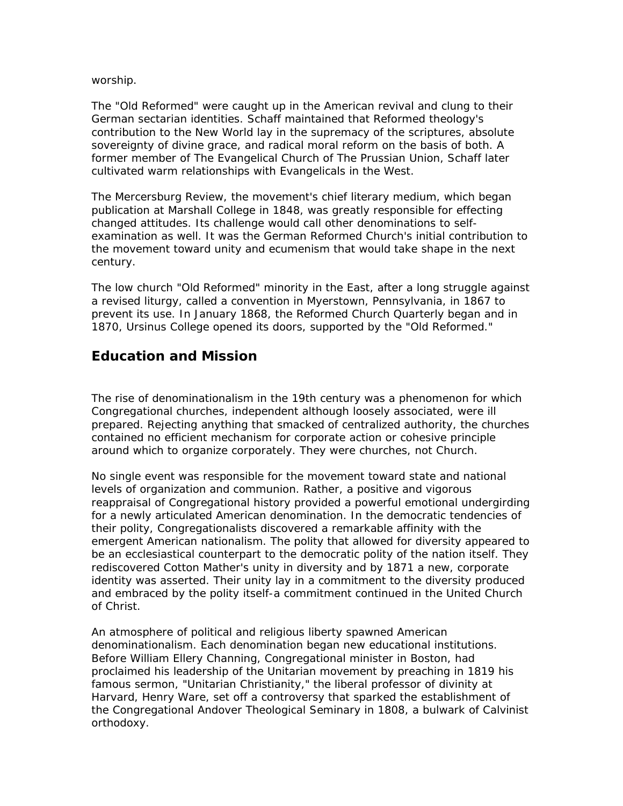#### worship.

The "Old Reformed" were caught up in the American revival and clung to their German sectarian identities. Schaff maintained that Reformed theology's contribution to the New World lay in the supremacy of the scriptures, absolute sovereignty of divine grace, and radical moral reform on the basis of both. A former member of The Evangelical Church of The Prussian Union, Schaff later cultivated warm relationships with Evangelicals in the West.

The Mercersburg Review, the movement's chief literary medium, which began publication at Marshall College in 1848, was greatly responsible for effecting changed attitudes. Its challenge would call other denominations to selfexamination as well. It was the German Reformed Church's initial contribution to the movement toward unity and ecumenism that would take shape in the next century.

The low church "Old Reformed" minority in the East, after a long struggle against a revised liturgy, called a convention in Myerstown, Pennsylvania, in 1867 to prevent its use. In January 1868, the Reformed Church Quarterly began and in 1870, Ursinus College opened its doors, supported by the "Old Reformed."

## **Education and Mission**

The rise of denominationalism in the 19th century was a phenomenon for which Congregational churches, independent although loosely associated, were ill prepared. Rejecting anything that smacked of centralized authority, the churches contained no efficient mechanism for corporate action or cohesive principle around which to organize corporately. They were churches, not Church.

No single event was responsible for the movement toward state and national levels of organization and communion. Rather, a positive and vigorous reappraisal of Congregational history provided a powerful emotional undergirding for a newly articulated American denomination. In the democratic tendencies of their polity, Congregationalists discovered a remarkable affinity with the emergent American nationalism. The polity that allowed for diversity appeared to be an ecclesiastical counterpart to the democratic polity of the nation itself. They rediscovered Cotton Mather's unity in diversity and by 1871 a new, corporate identity was asserted. Their unity lay in a commitment to the diversity produced and embraced by the polity itself-a commitment continued in the United Church of Christ.

An atmosphere of political and religious liberty spawned American denominationalism. Each denomination began new educational institutions. Before William Ellery Channing, Congregational minister in Boston, had proclaimed his leadership of the Unitarian movement by preaching in 1819 his famous sermon, "Unitarian Christianity," the liberal professor of divinity at Harvard, Henry Ware, set off a controversy that sparked the establishment of the Congregational Andover Theological Seminary in 1808, a bulwark of Calvinist orthodoxy.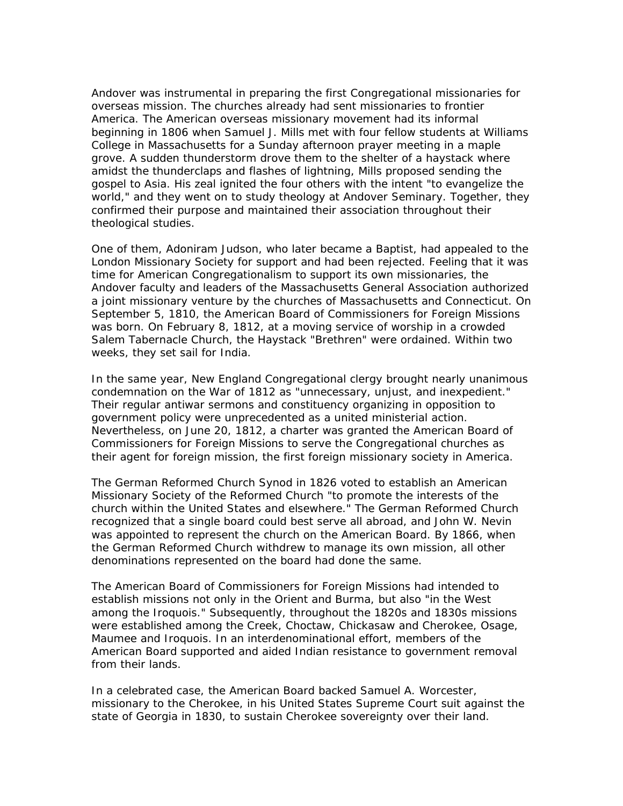Andover was instrumental in preparing the first Congregational missionaries for overseas mission. The churches already had sent missionaries to frontier America. The American overseas missionary movement had its informal beginning in 1806 when Samuel J. Mills met with four fellow students at Williams College in Massachusetts for a Sunday afternoon prayer meeting in a maple grove. A sudden thunderstorm drove them to the shelter of a haystack where amidst the thunderclaps and flashes of lightning, Mills proposed sending the gospel to Asia. His zeal ignited the four others with the intent "to evangelize the world," and they went on to study theology at Andover Seminary. Together, they confirmed their purpose and maintained their association throughout their theological studies.

One of them, Adoniram Judson, who later became a Baptist, had appealed to the London Missionary Society for support and had been rejected. Feeling that it was time for American Congregationalism to support its own missionaries, the Andover faculty and leaders of the Massachusetts General Association authorized a joint missionary venture by the churches of Massachusetts and Connecticut. On September 5, 1810, the American Board of Commissioners for Foreign Missions was born. On February 8, 1812, at a moving service of worship in a crowded Salem Tabernacle Church, the Haystack "Brethren" were ordained. Within two weeks, they set sail for India.

In the same year, New England Congregational clergy brought nearly unanimous condemnation on the War of 1812 as "unnecessary, unjust, and inexpedient." Their regular antiwar sermons and constituency organizing in opposition to government policy were unprecedented as a united ministerial action. Nevertheless, on June 20, 1812, a charter was granted the American Board of Commissioners for Foreign Missions to serve the Congregational churches as their agent for foreign mission, the first foreign missionary society in America.

The German Reformed Church Synod in 1826 voted to establish an American Missionary Society of the Reformed Church "to promote the interests of the church within the United States and elsewhere." The German Reformed Church recognized that a single board could best serve all abroad, and John W. Nevin was appointed to represent the church on the American Board. By 1866, when the German Reformed Church withdrew to manage its own mission, all other denominations represented on the board had done the same.

The American Board of Commissioners for Foreign Missions had intended to establish missions not only in the Orient and Burma, but also "in the West among the Iroquois." Subsequently, throughout the 1820s and 1830s missions were established among the Creek, Choctaw, Chickasaw and Cherokee, Osage, Maumee and Iroquois. In an interdenominational effort, members of the American Board supported and aided Indian resistance to government removal from their lands.

In a celebrated case, the American Board backed Samuel A. Worcester, missionary to the Cherokee, in his United States Supreme Court suit against the state of Georgia in 1830, to sustain Cherokee sovereignty over their land.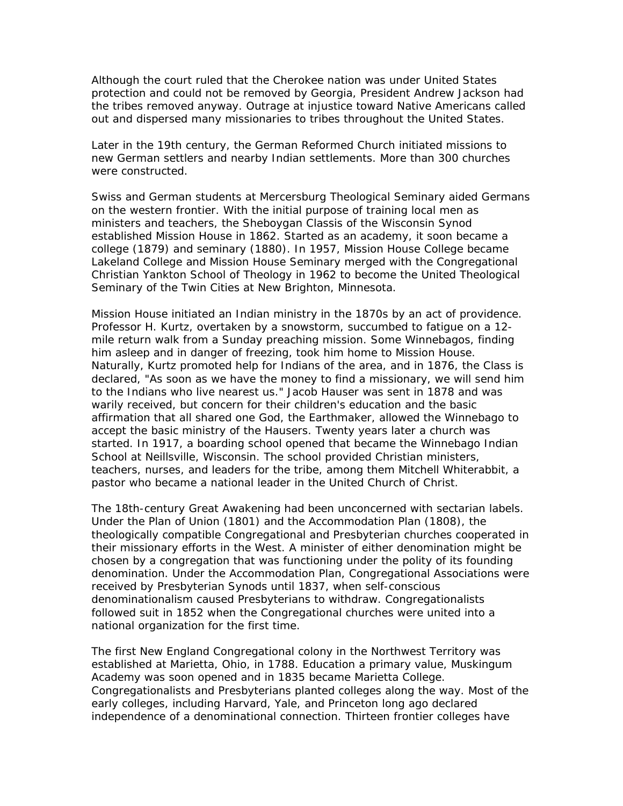Although the court ruled that the Cherokee nation was under United States protection and could not be removed by Georgia, President Andrew Jackson had the tribes removed anyway. Outrage at injustice toward Native Americans called out and dispersed many missionaries to tribes throughout the United States.

Later in the 19th century, the German Reformed Church initiated missions to new German settlers and nearby Indian settlements. More than 300 churches were constructed.

Swiss and German students at Mercersburg Theological Seminary aided Germans on the western frontier. With the initial purpose of training local men as ministers and teachers, the Sheboygan Classis of the Wisconsin Synod established Mission House in 1862. Started as an academy, it soon became a college (1879) and seminary (1880). In 1957, Mission House College became Lakeland College and Mission House Seminary merged with the Congregational Christian Yankton School of Theology in 1962 to become the United Theological Seminary of the Twin Cities at New Brighton, Minnesota.

Mission House initiated an Indian ministry in the 1870s by an act of providence. Professor H. Kurtz, overtaken by a snowstorm, succumbed to fatigue on a 12 mile return walk from a Sunday preaching mission. Some Winnebagos, finding him asleep and in danger of freezing, took him home to Mission House. Naturally, Kurtz promoted help for Indians of the area, and in 1876, the Class is declared, "As soon as we have the money to find a missionary, we will send him to the Indians who live nearest us." Jacob Hauser was sent in 1878 and was warily received, but concern for their children's education and the basic affirmation that all shared one God, the Earthmaker, allowed the Winnebago to accept the basic ministry of the Hausers. Twenty years later a church was started. In 1917, a boarding school opened that became the Winnebago Indian School at Neillsville, Wisconsin. The school provided Christian ministers, teachers, nurses, and leaders for the tribe, among them Mitchell Whiterabbit, a pastor who became a national leader in the United Church of Christ.

The 18th-century Great Awakening had been unconcerned with sectarian labels. Under the Plan of Union (1801) and the Accommodation Plan (1808), the theologically compatible Congregational and Presbyterian churches cooperated in their missionary efforts in the West. A minister of either denomination might be chosen by a congregation that was functioning under the polity of its founding denomination. Under the Accommodation Plan, Congregational Associations were received by Presbyterian Synods until 1837, when self-conscious denominationalism caused Presbyterians to withdraw. Congregationalists followed suit in 1852 when the Congregational churches were united into a national organization for the first time.

The first New England Congregational colony in the Northwest Territory was established at Marietta, Ohio, in 1788. Education a primary value, Muskingum Academy was soon opened and in 1835 became Marietta College. Congregationalists and Presbyterians planted colleges along the way. Most of the early colleges, including Harvard, Yale, and Princeton long ago declared independence of a denominational connection. Thirteen frontier colleges have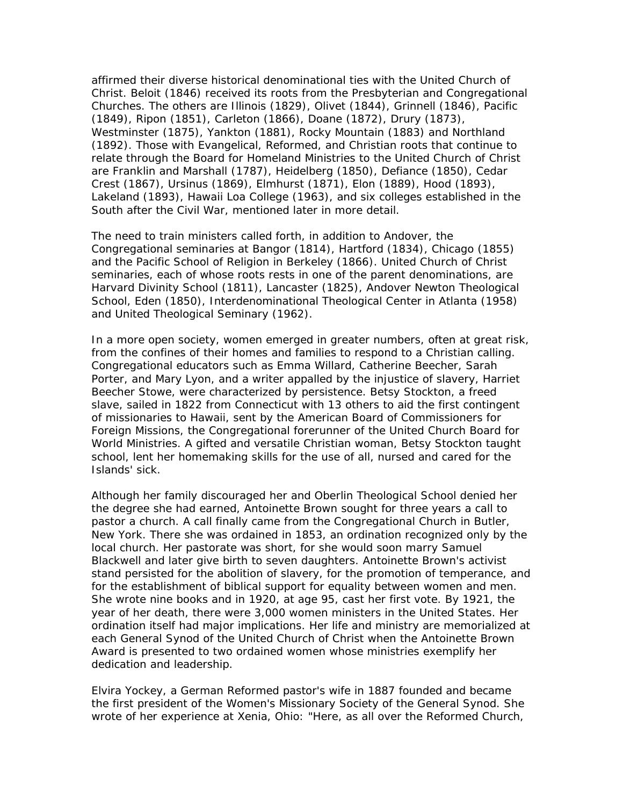affirmed their diverse historical denominational ties with the United Church of Christ. Beloit (1846) received its roots from the Presbyterian and Congregational Churches. The others are Illinois (1829), Olivet (1844), Grinnell (1846), Pacific (1849), Ripon (1851), Carleton (1866), Doane (1872), Drury (1873), Westminster (1875), Yankton (1881), Rocky Mountain (1883) and Northland (1892). Those with Evangelical, Reformed, and Christian roots that continue to relate through the Board for Homeland Ministries to the United Church of Christ are Franklin and Marshall (1787), Heidelberg (1850), Defiance (1850), Cedar Crest (1867), Ursinus (1869), Elmhurst (1871), Elon (1889), Hood (1893), Lakeland (1893), Hawaii Loa College (1963), and six colleges established in the South after the Civil War, mentioned later in more detail.

The need to train ministers called forth, in addition to Andover, the Congregational seminaries at Bangor (1814), Hartford (1834), Chicago (1855) and the Pacific School of Religion in Berkeley (1866). United Church of Christ seminaries, each of whose roots rests in one of the parent denominations, are Harvard Divinity School (1811), Lancaster (1825), Andover Newton Theological School, Eden (1850), Interdenominational Theological Center in Atlanta (1958) and United Theological Seminary (1962).

In a more open society, women emerged in greater numbers, often at great risk, from the confines of their homes and families to respond to a Christian calling. Congregational educators such as Emma Willard, Catherine Beecher, Sarah Porter, and Mary Lyon, and a writer appalled by the injustice of slavery, Harriet Beecher Stowe, were characterized by persistence. Betsy Stockton, a freed slave, sailed in 1822 from Connecticut with 13 others to aid the first contingent of missionaries to Hawaii, sent by the American Board of Commissioners for Foreign Missions, the Congregational forerunner of the United Church Board for World Ministries. A gifted and versatile Christian woman, Betsy Stockton taught school, lent her homemaking skills for the use of all, nursed and cared for the Islands' sick.

Although her family discouraged her and Oberlin Theological School denied her the degree she had earned, Antoinette Brown sought for three years a call to pastor a church. A call finally came from the Congregational Church in Butler, New York. There she was ordained in 1853, an ordination recognized only by the local church. Her pastorate was short, for she would soon marry Samuel Blackwell and later give birth to seven daughters. Antoinette Brown's activist stand persisted for the abolition of slavery, for the promotion of temperance, and for the establishment of biblical support for equality between women and men. She wrote nine books and in 1920, at age 95, cast her first vote. By 1921, the year of her death, there were 3,000 women ministers in the United States. Her ordination itself had major implications. Her life and ministry are memorialized at each General Synod of the United Church of Christ when the Antoinette Brown Award is presented to two ordained women whose ministries exemplify her dedication and leadership.

Elvira Yockey, a German Reformed pastor's wife in 1887 founded and became the first president of the Women's Missionary Society of the General Synod. She wrote of her experience at Xenia, Ohio: "Here, as all over the Reformed Church,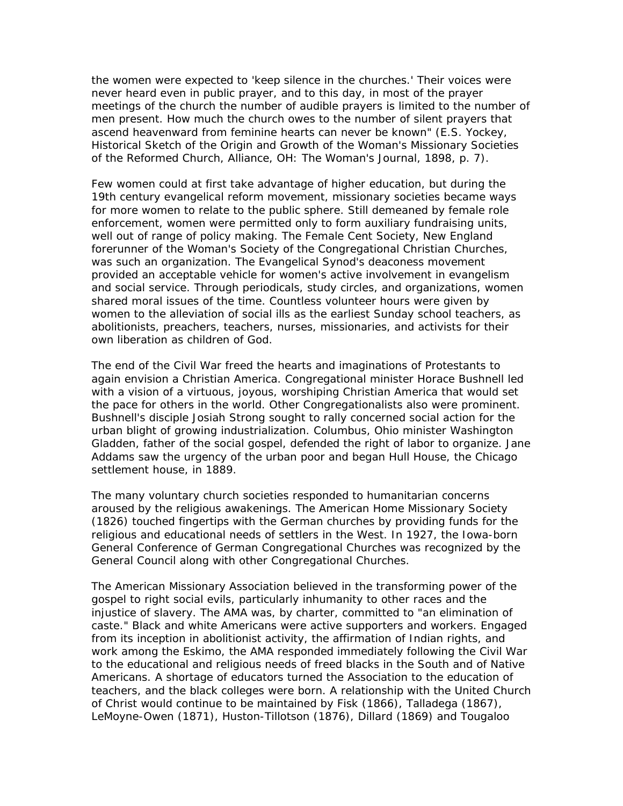the women were expected to 'keep silence in the churches.' Their voices were never heard even in public prayer, and to this day, in most of the prayer meetings of the church the number of audible prayers is limited to the number of men present. How much the church owes to the number of silent prayers that ascend heavenward from feminine hearts can never be known" (E.S. Yockey, Historical Sketch of the Origin and Growth of the Woman's Missionary Societies of the Reformed Church, Alliance, OH: The Woman's Journal, 1898, p. 7).

Few women could at first take advantage of higher education, but during the 19th century evangelical reform movement, missionary societies became ways for more women to relate to the public sphere. Still demeaned by female role enforcement, women were permitted only to form auxiliary fundraising units, well out of range of policy making. The Female Cent Society, New England forerunner of the Woman's Society of the Congregational Christian Churches, was such an organization. The Evangelical Synod's deaconess movement provided an acceptable vehicle for women's active involvement in evangelism and social service. Through periodicals, study circles, and organizations, women shared moral issues of the time. Countless volunteer hours were given by women to the alleviation of social ills as the earliest Sunday school teachers, as abolitionists, preachers, teachers, nurses, missionaries, and activists for their own liberation as children of God.

The end of the Civil War freed the hearts and imaginations of Protestants to again envision a Christian America. Congregational minister Horace Bushnell led with a vision of a virtuous, joyous, worshiping Christian America that would set the pace for others in the world. Other Congregationalists also were prominent. Bushnell's disciple Josiah Strong sought to rally concerned social action for the urban blight of growing industrialization. Columbus, Ohio minister Washington Gladden, father of the social gospel, defended the right of labor to organize. Jane Addams saw the urgency of the urban poor and began Hull House, the Chicago settlement house, in 1889.

The many voluntary church societies responded to humanitarian concerns aroused by the religious awakenings. The American Home Missionary Society (1826) touched fingertips with the German churches by providing funds for the religious and educational needs of settlers in the West. In 1927, the Iowa-born General Conference of German Congregational Churches was recognized by the General Council along with other Congregational Churches.

The American Missionary Association believed in the transforming power of the gospel to right social evils, particularly inhumanity to other races and the injustice of slavery. The AMA was, by charter, committed to "an elimination of caste." Black and white Americans were active supporters and workers. Engaged from its inception in abolitionist activity, the affirmation of Indian rights, and work among the Eskimo, the AMA responded immediately following the Civil War to the educational and religious needs of freed blacks in the South and of Native Americans. A shortage of educators turned the Association to the education of teachers, and the black colleges were born. A relationship with the United Church of Christ would continue to be maintained by Fisk (1866), Talladega (1867), LeMoyne-Owen (1871), Huston-Tillotson (1876), Dillard (1869) and Tougaloo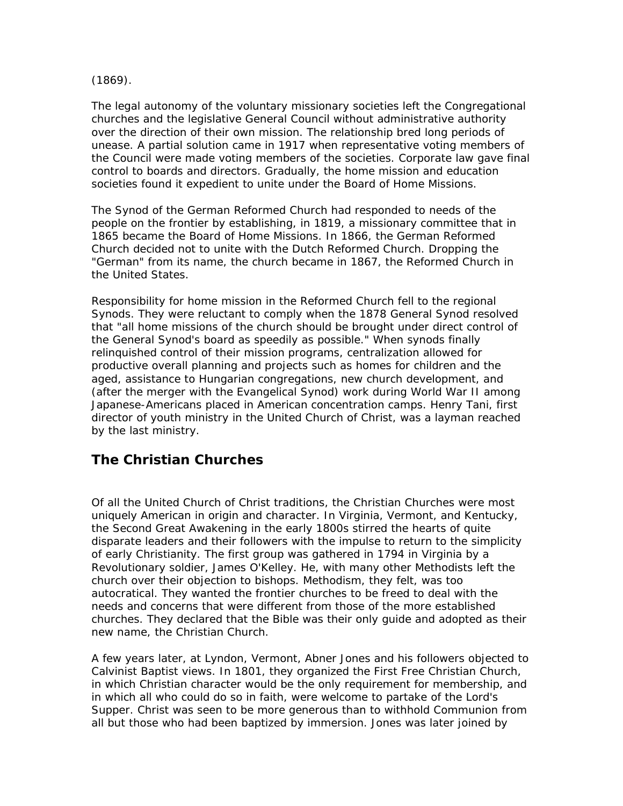#### (1869).

The legal autonomy of the voluntary missionary societies left the Congregational churches and the legislative General Council without administrative authority over the direction of their own mission. The relationship bred long periods of unease. A partial solution came in 1917 when representative voting members of the Council were made voting members of the societies. Corporate law gave final control to boards and directors. Gradually, the home mission and education societies found it expedient to unite under the Board of Home Missions.

The Synod of the German Reformed Church had responded to needs of the people on the frontier by establishing, in 1819, a missionary committee that in 1865 became the Board of Home Missions. In 1866, the German Reformed Church decided not to unite with the Dutch Reformed Church. Dropping the "German" from its name, the church became in 1867, the Reformed Church in the United States.

Responsibility for home mission in the Reformed Church fell to the regional Synods. They were reluctant to comply when the 1878 General Synod resolved that "all home missions of the church should be brought under direct control of the General Synod's board as speedily as possible." When synods finally relinquished control of their mission programs, centralization allowed for productive overall planning and projects such as homes for children and the aged, assistance to Hungarian congregations, new church development, and (after the merger with the Evangelical Synod) work during World War II among Japanese-Americans placed in American concentration camps. Henry Tani, first director of youth ministry in the United Church of Christ, was a layman reached by the last ministry.

# **The Christian Churches**

Of all the United Church of Christ traditions, the Christian Churches were most uniquely American in origin and character. In Virginia, Vermont, and Kentucky, the Second Great Awakening in the early 1800s stirred the hearts of quite disparate leaders and their followers with the impulse to return to the simplicity of early Christianity. The first group was gathered in 1794 in Virginia by a Revolutionary soldier, James O'Kelley. He, with many other Methodists left the church over their objection to bishops. Methodism, they felt, was too autocratical. They wanted the frontier churches to be freed to deal with the needs and concerns that were different from those of the more established churches. They declared that the Bible was their only guide and adopted as their new name, the Christian Church.

A few years later, at Lyndon, Vermont, Abner Jones and his followers objected to Calvinist Baptist views. In 1801, they organized the First Free Christian Church, in which Christian character would be the only requirement for membership, and in which all who could do so in faith, were welcome to partake of the Lord's Supper. Christ was seen to be more generous than to withhold Communion from all but those who had been baptized by immersion. Jones was later joined by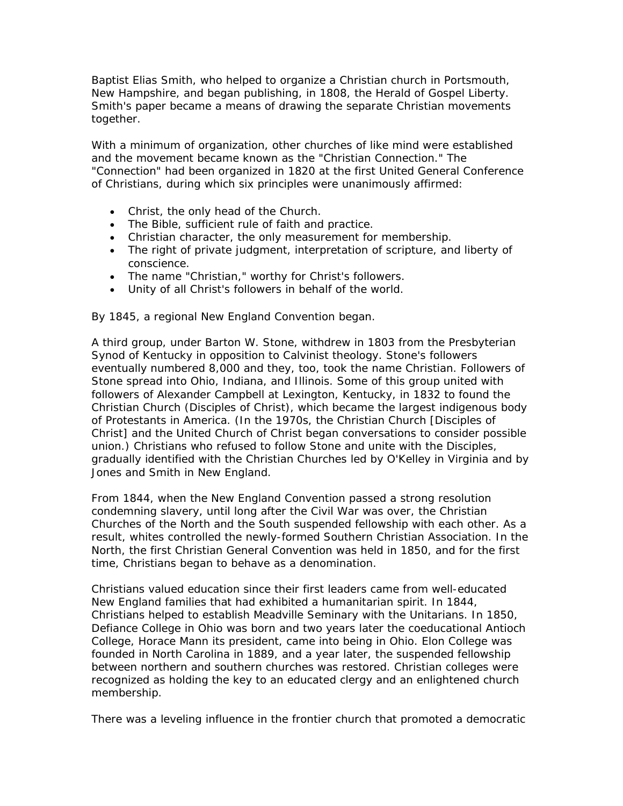Baptist Elias Smith, who helped to organize a Christian church in Portsmouth, New Hampshire, and began publishing, in 1808, the Herald of Gospel Liberty. Smith's paper became a means of drawing the separate Christian movements together.

With a minimum of organization, other churches of like mind were established and the movement became known as the "Christian Connection." The "Connection" had been organized in 1820 at the first United General Conference of Christians, during which six principles were unanimously affirmed:

- Christ, the only head of the Church.
- The Bible, sufficient rule of faith and practice.
- Christian character, the only measurement for membership.
- The right of private judgment, interpretation of scripture, and liberty of conscience.
- The name "Christian," worthy for Christ's followers.
- Unity of all Christ's followers in behalf of the world.

By 1845, a regional New England Convention began.

A third group, under Barton W. Stone, withdrew in 1803 from the Presbyterian Synod of Kentucky in opposition to Calvinist theology. Stone's followers eventually numbered 8,000 and they, too, took the name Christian. Followers of Stone spread into Ohio, Indiana, and Illinois. Some of this group united with followers of Alexander Campbell at Lexington, Kentucky, in 1832 to found the Christian Church (Disciples of Christ), which became the largest indigenous body of Protestants in America. (In the 1970s, the Christian Church [Disciples of Christ] and the United Church of Christ began conversations to consider possible union.) Christians who refused to follow Stone and unite with the Disciples, gradually identified with the Christian Churches led by O'Kelley in Virginia and by Jones and Smith in New England.

From 1844, when the New England Convention passed a strong resolution condemning slavery, until long after the Civil War was over, the Christian Churches of the North and the South suspended fellowship with each other. As a result, whites controlled the newly-formed Southern Christian Association. In the North, the first Christian General Convention was held in 1850, and for the first time, Christians began to behave as a denomination.

Christians valued education since their first leaders came from well-educated New England families that had exhibited a humanitarian spirit. In 1844, Christians helped to establish Meadville Seminary with the Unitarians. In 1850, Defiance College in Ohio was born and two years later the coeducational Antioch College, Horace Mann its president, came into being in Ohio. Elon College was founded in North Carolina in 1889, and a year later, the suspended fellowship between northern and southern churches was restored. Christian colleges were recognized as holding the key to an educated clergy and an enlightened church membership.

There was a leveling influence in the frontier church that promoted a democratic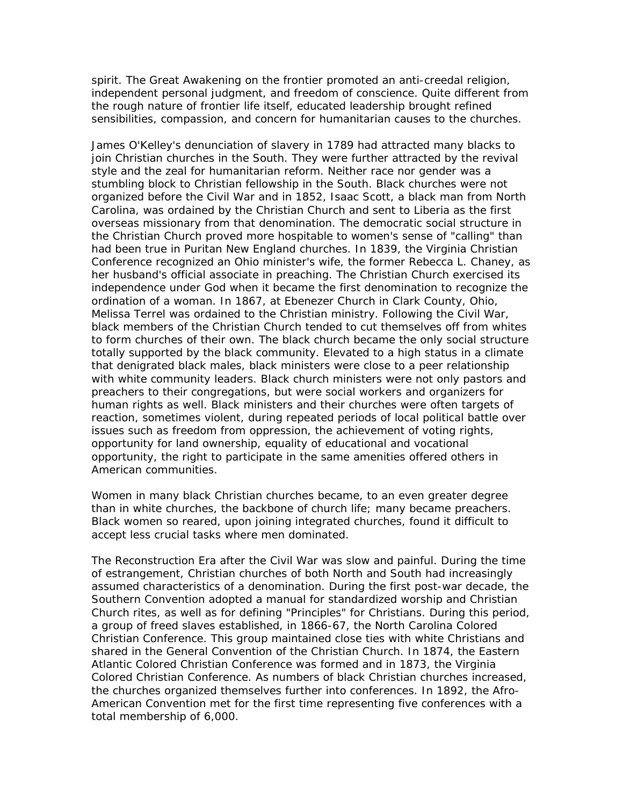spirit. The Great Awakening on the frontier promoted an anti-creedal religion, independent personal judgment, and freedom of conscience. Quite different from the rough nature of frontier life itself, educated leadership brought refined sensibilities, compassion, and concern for humanitarian causes to the churches.

James O'Kelley's denunciation of slavery in 1789 had attracted many blacks to join Christian churches in the South. They were further attracted by the revival style and the zeal for humanitarian reform. Neither race nor gender was a stumbling block to Christian fellowship in the South. Black churches were not organized before the Civil War and in 1852, Isaac Scott, a black man from North Carolina, was ordained by the Christian Church and sent to Liberia as the first overseas missionary from that denomination. The democratic social structure in the Christian Church proved more hospitable to women's sense of "calling" than had been true in Puritan New England churches. In 1839, the Virginia Christian Conference recognized an Ohio minister's wife, the former Rebecca L. Chaney, as her husband's official associate in preaching. The Christian Church exercised its independence under God when it became the first denomination to recognize the ordination of a woman. In 1867, at Ebenezer Church in Clark County, Ohio, Melissa Terrel was ordained to the Christian ministry. Following the Civil War, black members of the Christian Church tended to cut themselves off from whites to form churches of their own. The black church became the only social structure totally supported by the black community. Elevated to a high status in a climate that denigrated black males, black ministers were close to a peer relationship with white community leaders. Black church ministers were not only pastors and preachers to their congregations, but were social workers and organizers for human rights as well. Black ministers and their churches were often targets of reaction, sometimes violent, during repeated periods of local political battle over issues such as freedom from oppression, the achievement of voting rights, opportunity for land ownership, equality of educational and vocational opportunity, the right to participate in the same amenities offered others in American communities.

Women in many black Christian churches became, to an even greater degree than in white churches, the backbone of church life; many became preachers. Black women so reared, upon joining integrated churches, found it difficult to accept less crucial tasks where men dominated.

The Reconstruction Era after the Civil War was slow and painful. During the time of estrangement, Christian churches of both North and South had increasingly assumed characteristics of a denomination. During the first post-war decade, the Southern Convention adopted a manual for standardized worship and Christian Church rites, as well as for defining "Principles" for Christians. During this period, a group of freed slaves established, in 1866-67, the North Carolina Colored Christian Conference. This group maintained close ties with white Christians and shared in the General Convention of the Christian Church. In 1874, the Eastern Atlantic Colored Christian Conference was formed and in 1873, the Virginia Colored Christian Conference. As numbers of black Christian churches increased, the churches organized themselves further into conferences. In 1892, the Afro-American Convention met for the first time representing five conferences with a total membership of 6,000.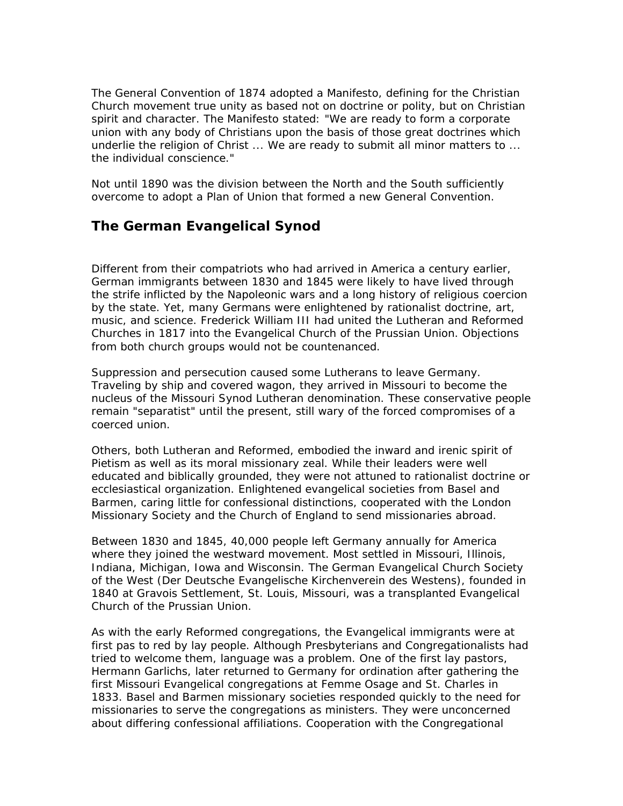The General Convention of 1874 adopted a Manifesto, defining for the Christian Church movement true unity as based not on doctrine or polity, but on Christian spirit and character. The Manifesto stated: "We are ready to form a corporate union with any body of Christians upon the basis of those great doctrines which underlie the religion of Christ ... We are ready to submit all minor matters to ... the individual conscience."

Not until 1890 was the division between the North and the South sufficiently overcome to adopt a Plan of Union that formed a new General Convention.

## **The German Evangelical Synod**

Different from their compatriots who had arrived in America a century earlier, German immigrants between 1830 and 1845 were likely to have lived through the strife inflicted by the Napoleonic wars and a long history of religious coercion by the state. Yet, many Germans were enlightened by rationalist doctrine, art, music, and science. Frederick William III had united the Lutheran and Reformed Churches in 1817 into the Evangelical Church of the Prussian Union. Objections from both church groups would not be countenanced.

Suppression and persecution caused some Lutherans to leave Germany. Traveling by ship and covered wagon, they arrived in Missouri to become the nucleus of the Missouri Synod Lutheran denomination. These conservative people remain "separatist" until the present, still wary of the forced compromises of a coerced union.

Others, both Lutheran and Reformed, embodied the inward and irenic spirit of Pietism as well as its moral missionary zeal. While their leaders were well educated and biblically grounded, they were not attuned to rationalist doctrine or ecclesiastical organization. Enlightened evangelical societies from Basel and Barmen, caring little for confessional distinctions, cooperated with the London Missionary Society and the Church of England to send missionaries abroad.

Between 1830 and 1845, 40,000 people left Germany annually for America where they joined the westward movement. Most settled in Missouri, Illinois, Indiana, Michigan, Iowa and Wisconsin. The German Evangelical Church Society of the West (Der Deutsche Evangelische Kirchenverein des Westens), founded in 1840 at Gravois Settlement, St. Louis, Missouri, was a transplanted Evangelical Church of the Prussian Union.

As with the early Reformed congregations, the Evangelical immigrants were at first pas to red by lay people. Although Presbyterians and Congregationalists had tried to welcome them, language was a problem. One of the first lay pastors, Hermann Garlichs, later returned to Germany for ordination after gathering the first Missouri Evangelical congregations at Femme Osage and St. Charles in 1833. Basel and Barmen missionary societies responded quickly to the need for missionaries to serve the congregations as ministers. They were unconcerned about differing confessional affiliations. Cooperation with the Congregational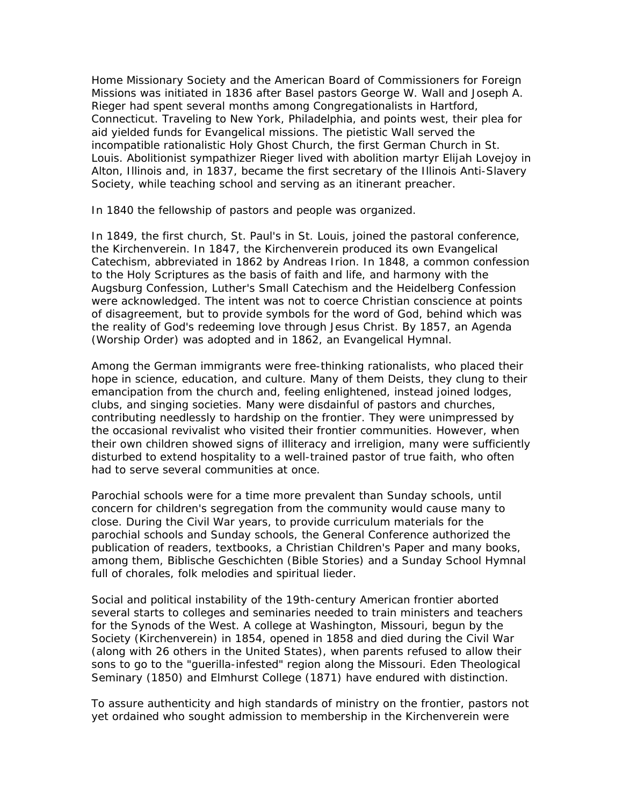Home Missionary Society and the American Board of Commissioners for Foreign Missions was initiated in 1836 after Basel pastors George W. Wall and Joseph A. Rieger had spent several months among Congregationalists in Hartford, Connecticut. Traveling to New York, Philadelphia, and points west, their plea for aid yielded funds for Evangelical missions. The pietistic Wall served the incompatible rationalistic Holy Ghost Church, the first German Church in St. Louis. Abolitionist sympathizer Rieger lived with abolition martyr Elijah Lovejoy in Alton, Illinois and, in 1837, became the first secretary of the Illinois Anti-Slavery Society, while teaching school and serving as an itinerant preacher.

In 1840 the fellowship of pastors and people was organized.

In 1849, the first church, St. Paul's in St. Louis, joined the pastoral conference, the Kirchenverein. In 1847, the Kirchenverein produced its own Evangelical Catechism, abbreviated in 1862 by Andreas Irion. In 1848, a common confession to the Holy Scriptures as the basis of faith and life, and harmony with the Augsburg Confession, Luther's Small Catechism and the Heidelberg Confession were acknowledged. The intent was not to coerce Christian conscience at points of disagreement, but to provide symbols for the word of God, behind which was the reality of God's redeeming love through Jesus Christ. By 1857, an Agenda (Worship Order) was adopted and in 1862, an Evangelical Hymnal.

Among the German immigrants were free-thinking rationalists, who placed their hope in science, education, and culture. Many of them Deists, they clung to their emancipation from the church and, feeling enlightened, instead joined lodges, clubs, and singing societies. Many were disdainful of pastors and churches, contributing needlessly to hardship on the frontier. They were unimpressed by the occasional revivalist who visited their frontier communities. However, when their own children showed signs of illiteracy and irreligion, many were sufficiently disturbed to extend hospitality to a well-trained pastor of true faith, who often had to serve several communities at once.

Parochial schools were for a time more prevalent than Sunday schools, until concern for children's segregation from the community would cause many to close. During the Civil War years, to provide curriculum materials for the parochial schools and Sunday schools, the General Conference authorized the publication of readers, textbooks, a Christian Children's Paper and many books, among them, Biblische Geschichten (Bible Stories) and a Sunday School Hymnal full of chorales, folk melodies and spiritual lieder.

Social and political instability of the 19th-century American frontier aborted several starts to colleges and seminaries needed to train ministers and teachers for the Synods of the West. A college at Washington, Missouri, begun by the Society (Kirchenverein) in 1854, opened in 1858 and died during the Civil War (along with 26 others in the United States), when parents refused to allow their sons to go to the "guerilla-infested" region along the Missouri. Eden Theological Seminary (1850) and Elmhurst College (1871) have endured with distinction.

To assure authenticity and high standards of ministry on the frontier, pastors not yet ordained who sought admission to membership in the Kirchenverein were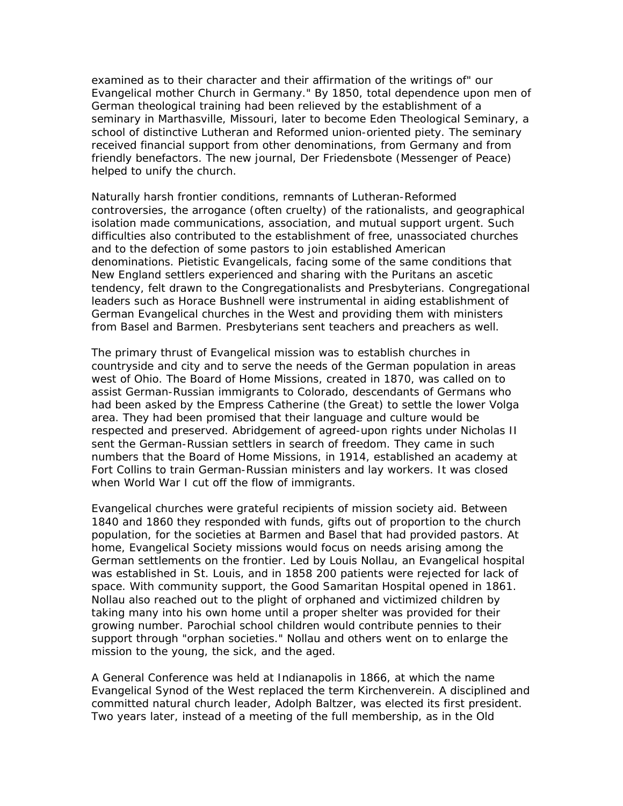examined as to their character and their affirmation of the writings of" our Evangelical mother Church in Germany." By 1850, total dependence upon men of German theological training had been relieved by the establishment of a seminary in Marthasville, Missouri, later to become Eden Theological Seminary, a school of distinctive Lutheran and Reformed union-oriented piety. The seminary received financial support from other denominations, from Germany and from friendly benefactors. The new journal, Der Friedensbote (Messenger of Peace) helped to unify the church.

Naturally harsh frontier conditions, remnants of Lutheran-Reformed controversies, the arrogance (often cruelty) of the rationalists, and geographical isolation made communications, association, and mutual support urgent. Such difficulties also contributed to the establishment of free, unassociated churches and to the defection of some pastors to join established American denominations. Pietistic Evangelicals, facing some of the same conditions that New England settlers experienced and sharing with the Puritans an ascetic tendency, felt drawn to the Congregationalists and Presbyterians. Congregational leaders such as Horace Bushnell were instrumental in aiding establishment of German Evangelical churches in the West and providing them with ministers from Basel and Barmen. Presbyterians sent teachers and preachers as well.

The primary thrust of Evangelical mission was to establish churches in countryside and city and to serve the needs of the German population in areas west of Ohio. The Board of Home Missions, created in 1870, was called on to assist German-Russian immigrants to Colorado, descendants of Germans who had been asked by the Empress Catherine (the Great) to settle the lower Volga area. They had been promised that their language and culture would be respected and preserved. Abridgement of agreed-upon rights under Nicholas II sent the German-Russian settlers in search of freedom. They came in such numbers that the Board of Home Missions, in 1914, established an academy at Fort Collins to train German-Russian ministers and lay workers. It was closed when World War I cut off the flow of immigrants.

Evangelical churches were grateful recipients of mission society aid. Between 1840 and 1860 they responded with funds, gifts out of proportion to the church population, for the societies at Barmen and Basel that had provided pastors. At home, Evangelical Society missions would focus on needs arising among the German settlements on the frontier. Led by Louis Nollau, an Evangelical hospital was established in St. Louis, and in 1858 200 patients were rejected for lack of space. With community support, the Good Samaritan Hospital opened in 1861. Nollau also reached out to the plight of orphaned and victimized children by taking many into his own home until a proper shelter was provided for their growing number. Parochial school children would contribute pennies to their support through "orphan societies." Nollau and others went on to enlarge the mission to the young, the sick, and the aged.

A General Conference was held at Indianapolis in 1866, at which the name Evangelical Synod of the West replaced the term Kirchenverein. A disciplined and committed natural church leader, Adolph Baltzer, was elected its first president. Two years later, instead of a meeting of the full membership, as in the Old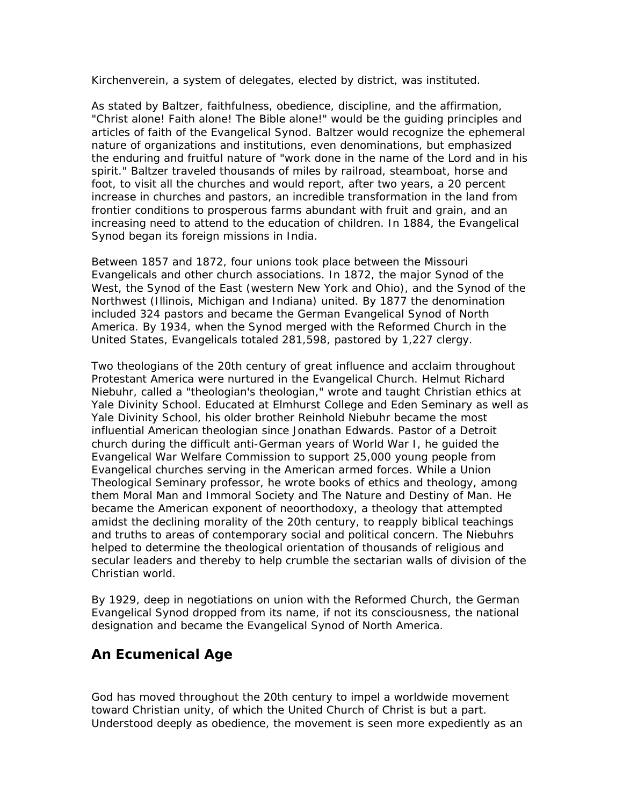Kirchenverein, a system of delegates, elected by district, was instituted.

As stated by Baltzer, faithfulness, obedience, discipline, and the affirmation, "Christ alone! Faith alone! The Bible alone!" would be the guiding principles and articles of faith of the Evangelical Synod. Baltzer would recognize the ephemeral nature of organizations and institutions, even denominations, but emphasized the enduring and fruitful nature of "work done in the name of the Lord and in his spirit." Baltzer traveled thousands of miles by railroad, steamboat, horse and foot, to visit all the churches and would report, after two years, a 20 percent increase in churches and pastors, an incredible transformation in the land from frontier conditions to prosperous farms abundant with fruit and grain, and an increasing need to attend to the education of children. In 1884, the Evangelical Synod began its foreign missions in India.

Between 1857 and 1872, four unions took place between the Missouri Evangelicals and other church associations. In 1872, the major Synod of the West, the Synod of the East (western New York and Ohio), and the Synod of the Northwest (Illinois, Michigan and Indiana) united. By 1877 the denomination included 324 pastors and became the German Evangelical Synod of North America. By 1934, when the Synod merged with the Reformed Church in the United States, Evangelicals totaled 281,598, pastored by 1,227 clergy.

Two theologians of the 20th century of great influence and acclaim throughout Protestant America were nurtured in the Evangelical Church. Helmut Richard Niebuhr, called a "theologian's theologian," wrote and taught Christian ethics at Yale Divinity School. Educated at Elmhurst College and Eden Seminary as well as Yale Divinity School, his older brother Reinhold Niebuhr became the most influential American theologian since Jonathan Edwards. Pastor of a Detroit church during the difficult anti-German years of World War I, he guided the Evangelical War Welfare Commission to support 25,000 young people from Evangelical churches serving in the American armed forces. While a Union Theological Seminary professor, he wrote books of ethics and theology, among them Moral Man and Immoral Society and The Nature and Destiny of Man. He became the American exponent of neoorthodoxy, a theology that attempted amidst the declining morality of the 20th century, to reapply biblical teachings and truths to areas of contemporary social and political concern. The Niebuhrs helped to determine the theological orientation of thousands of religious and secular leaders and thereby to help crumble the sectarian walls of division of the Christian world.

By 1929, deep in negotiations on union with the Reformed Church, the German Evangelical Synod dropped from its name, if not its consciousness, the national designation and became the Evangelical Synod of North America.

# **An Ecumenical Age**

God has moved throughout the 20th century to impel a worldwide movement toward Christian unity, of which the United Church of Christ is but a part. Understood deeply as obedience, the movement is seen more expediently as an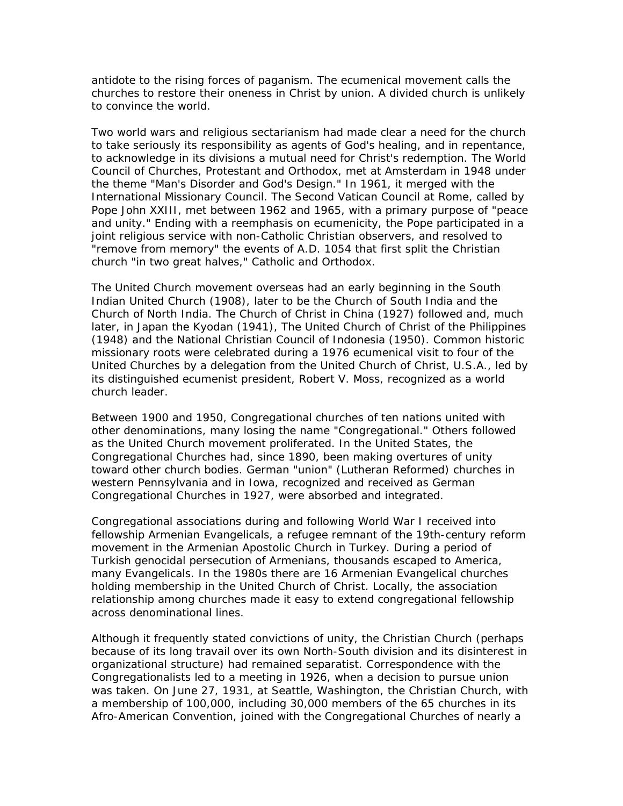antidote to the rising forces of paganism. The ecumenical movement calls the churches to restore their oneness in Christ by union. A divided church is unlikely to convince the world.

Two world wars and religious sectarianism had made clear a need for the church to take seriously its responsibility as agents of God's healing, and in repentance, to acknowledge in its divisions a mutual need for Christ's redemption. The World Council of Churches, Protestant and Orthodox, met at Amsterdam in 1948 under the theme "Man's Disorder and God's Design." In 1961, it merged with the International Missionary Council. The Second Vatican Council at Rome, called by Pope John XXIII, met between 1962 and 1965, with a primary purpose of "peace and unity." Ending with a reemphasis on ecumenicity, the Pope participated in a joint religious service with non-Catholic Christian observers, and resolved to "remove from memory" the events of A.D. 1054 that first split the Christian church "in two great halves," Catholic and Orthodox.

The United Church movement overseas had an early beginning in the South Indian United Church (1908), later to be the Church of South India and the Church of North India. The Church of Christ in China (1927) followed and, much later, in Japan the Kyodan (1941), The United Church of Christ of the Philippines (1948) and the National Christian Council of Indonesia (1950). Common historic missionary roots were celebrated during a 1976 ecumenical visit to four of the United Churches by a delegation from the United Church of Christ, U.S.A., led by its distinguished ecumenist president, Robert V. Moss, recognized as a world church leader.

Between 1900 and 1950, Congregational churches of ten nations united with other denominations, many losing the name "Congregational." Others followed as the United Church movement proliferated. In the United States, the Congregational Churches had, since 1890, been making overtures of unity toward other church bodies. German "union" (Lutheran Reformed) churches in western Pennsylvania and in Iowa, recognized and received as German Congregational Churches in 1927, were absorbed and integrated.

Congregational associations during and following World War I received into fellowship Armenian Evangelicals, a refugee remnant of the 19th-century reform movement in the Armenian Apostolic Church in Turkey. During a period of Turkish genocidal persecution of Armenians, thousands escaped to America, many Evangelicals. In the 1980s there are 16 Armenian Evangelical churches holding membership in the United Church of Christ. Locally, the association relationship among churches made it easy to extend congregational fellowship across denominational lines.

Although it frequently stated convictions of unity, the Christian Church (perhaps because of its long travail over its own North-South division and its disinterest in organizational structure) had remained separatist. Correspondence with the Congregationalists led to a meeting in 1926, when a decision to pursue union was taken. On June 27, 1931, at Seattle, Washington, the Christian Church, with a membership of 100,000, including 30,000 members of the 65 churches in its Afro-American Convention, joined with the Congregational Churches of nearly a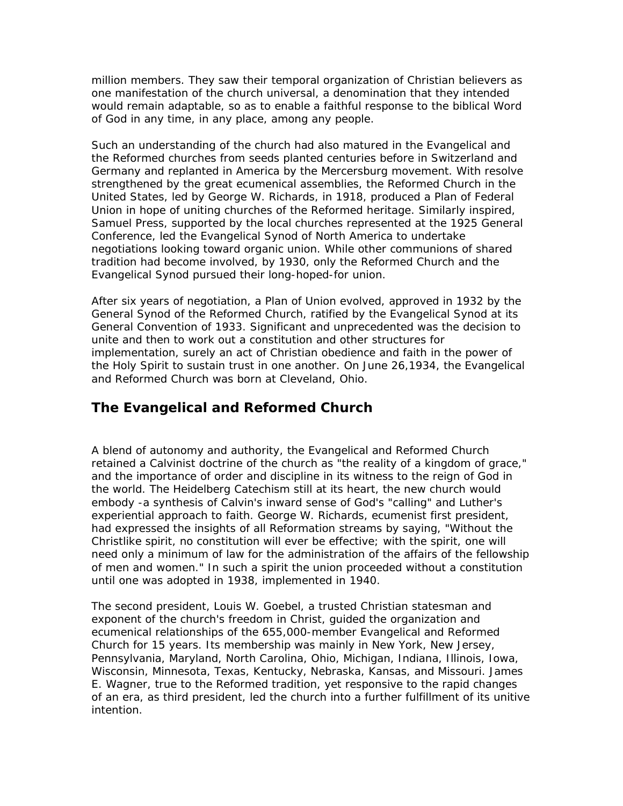million members. They saw their temporal organization of Christian believers as one manifestation of the church universal, a denomination that they intended would remain adaptable, so as to enable a faithful response to the biblical Word of God in any time, in any place, among any people.

Such an understanding of the church had also matured in the Evangelical and the Reformed churches from seeds planted centuries before in Switzerland and Germany and replanted in America by the Mercersburg movement. With resolve strengthened by the great ecumenical assemblies, the Reformed Church in the United States, led by George W. Richards, in 1918, produced a Plan of Federal Union in hope of uniting churches of the Reformed heritage. Similarly inspired, Samuel Press, supported by the local churches represented at the 1925 General Conference, led the Evangelical Synod of North America to undertake negotiations looking toward organic union. While other communions of shared tradition had become involved, by 1930, only the Reformed Church and the Evangelical Synod pursued their long-hoped-for union.

After six years of negotiation, a Plan of Union evolved, approved in 1932 by the General Synod of the Reformed Church, ratified by the Evangelical Synod at its General Convention of 1933. Significant and unprecedented was the decision to unite and then to work out a constitution and other structures for implementation, surely an act of Christian obedience and faith in the power of the Holy Spirit to sustain trust in one another. On June 26,1934, the Evangelical and Reformed Church was born at Cleveland, Ohio.

# **The Evangelical and Reformed Church**

A blend of autonomy and authority, the Evangelical and Reformed Church retained a Calvinist doctrine of the church as "the reality of a kingdom of grace," and the importance of order and discipline in its witness to the reign of God in the world. The Heidelberg Catechism still at its heart, the new church would embody -a synthesis of Calvin's inward sense of God's "calling" and Luther's experiential approach to faith. George W. Richards, ecumenist first president, had expressed the insights of all Reformation streams by saying, "Without the Christlike spirit, no constitution will ever be effective; with the spirit, one will need only a minimum of law for the administration of the affairs of the fellowship of men and women." In such a spirit the union proceeded without a constitution until one was adopted in 1938, implemented in 1940.

The second president, Louis W. Goebel, a trusted Christian statesman and exponent of the church's freedom in Christ, guided the organization and ecumenical relationships of the 655,000-member Evangelical and Reformed Church for 15 years. Its membership was mainly in New York, New Jersey, Pennsylvania, Maryland, North Carolina, Ohio, Michigan, Indiana, Illinois, Iowa, Wisconsin, Minnesota, Texas, Kentucky, Nebraska, Kansas, and Missouri. James E. Wagner, true to the Reformed tradition, yet responsive to the rapid changes of an era, as third president, led the church into a further fulfillment of its unitive intention.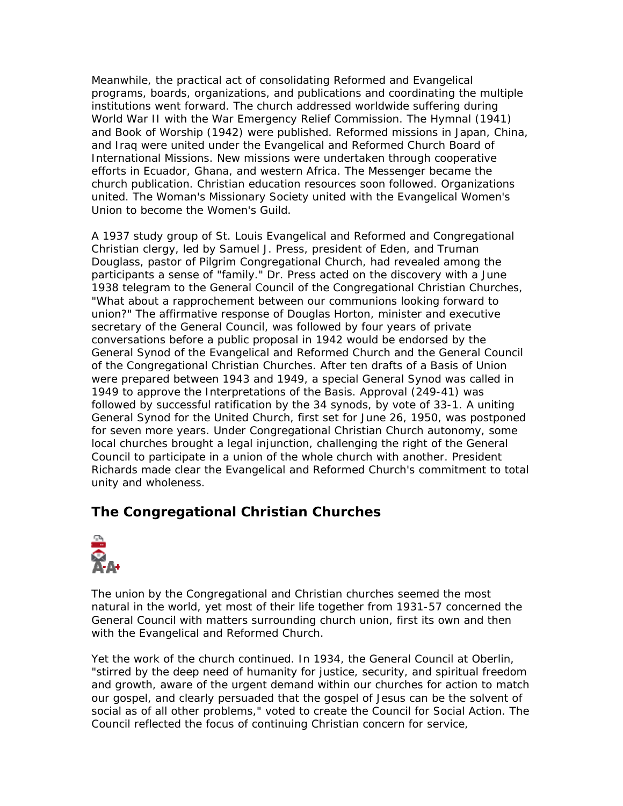Meanwhile, the practical act of consolidating Reformed and Evangelical programs, boards, organizations, and publications and coordinating the multiple institutions went forward. The church addressed worldwide suffering during World War II with the War Emergency Relief Commission. The Hymnal (1941) and Book of Worship (1942) were published. Reformed missions in Japan, China, and Iraq were united under the Evangelical and Reformed Church Board of International Missions. New missions were undertaken through cooperative efforts in Ecuador, Ghana, and western Africa. The Messenger became the church publication. Christian education resources soon followed. Organizations united. The Woman's Missionary Society united with the Evangelical Women's Union to become the Women's Guild.

A 1937 study group of St. Louis Evangelical and Reformed and Congregational Christian clergy, led by Samuel J. Press, president of Eden, and Truman Douglass, pastor of Pilgrim Congregational Church, had revealed among the participants a sense of "family." Dr. Press acted on the discovery with a June 1938 telegram to the General Council of the Congregational Christian Churches, "What about a rapprochement between our communions looking forward to union?" The affirmative response of Douglas Horton, minister and executive secretary of the General Council, was followed by four years of private conversations before a public proposal in 1942 would be endorsed by the General Synod of the Evangelical and Reformed Church and the General Council of the Congregational Christian Churches. After ten drafts of a Basis of Union were prepared between 1943 and 1949, a special General Synod was called in 1949 to approve the Interpretations of the Basis. Approval (249-41) was followed by successful ratification by the 34 synods, by vote of 33-1. A uniting General Synod for the United Church, first set for June 26, 1950, was postponed for seven more years. Under Congregational Christian Church autonomy, some local churches brought a legal injunction, challenging the right of the General Council to participate in a union of the whole church with another. President Richards made clear the Evangelical and Reformed Church's commitment to total unity and wholeness.

# **The Congregational Christian Churches**



The union by the Congregational and Christian churches seemed the most natural in the world, yet most of their life together from 1931-57 concerned the General Council with matters surrounding church union, first its own and then with the Evangelical and Reformed Church.

Yet the work of the church continued. In 1934, the General Council at Oberlin, "stirred by the deep need of humanity for justice, security, and spiritual freedom and growth, aware of the urgent demand within our churches for action to match our gospel, and clearly persuaded that the gospel of Jesus can be the solvent of social as of all other problems," voted to create the Council for Social Action. The Council reflected the focus of continuing Christian concern for service,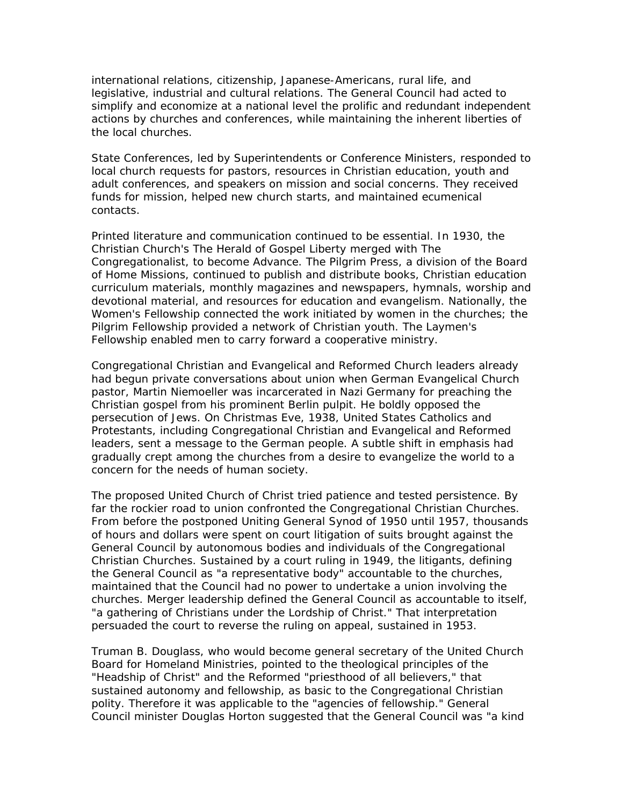international relations, citizenship, Japanese-Americans, rural life, and legislative, industrial and cultural relations. The General Council had acted to simplify and economize at a national level the prolific and redundant independent actions by churches and conferences, while maintaining the inherent liberties of the local churches.

State Conferences, led by Superintendents or Conference Ministers, responded to local church requests for pastors, resources in Christian education, youth and adult conferences, and speakers on mission and social concerns. They received funds for mission, helped new church starts, and maintained ecumenical contacts.

Printed literature and communication continued to be essential. In 1930, the Christian Church's The Herald of Gospel Liberty merged with The Congregationalist, to become Advance. The Pilgrim Press, a division of the Board of Home Missions, continued to publish and distribute books, Christian education curriculum materials, monthly magazines and newspapers, hymnals, worship and devotional material, and resources for education and evangelism. Nationally, the Women's Fellowship connected the work initiated by women in the churches; the Pilgrim Fellowship provided a network of Christian youth. The Laymen's Fellowship enabled men to carry forward a cooperative ministry.

Congregational Christian and Evangelical and Reformed Church leaders already had begun private conversations about union when German Evangelical Church pastor, Martin Niemoeller was incarcerated in Nazi Germany for preaching the Christian gospel from his prominent Berlin pulpit. He boldly opposed the persecution of Jews. On Christmas Eve, 1938, United States Catholics and Protestants, including Congregational Christian and Evangelical and Reformed leaders, sent a message to the German people. A subtle shift in emphasis had gradually crept among the churches from a desire to evangelize the world to a concern for the needs of human society.

The proposed United Church of Christ tried patience and tested persistence. By far the rockier road to union confronted the Congregational Christian Churches. From before the postponed Uniting General Synod of 1950 until 1957, thousands of hours and dollars were spent on court litigation of suits brought against the General Council by autonomous bodies and individuals of the Congregational Christian Churches. Sustained by a court ruling in 1949, the litigants, defining the General Council as "a representative body" accountable to the churches, maintained that the Council had no power to undertake a union involving the churches. Merger leadership defined the General Council as accountable to itself, "a gathering of Christians under the Lordship of Christ." That interpretation persuaded the court to reverse the ruling on appeal, sustained in 1953.

Truman B. Douglass, who would become general secretary of the United Church Board for Homeland Ministries, pointed to the theological principles of the "Headship of Christ" and the Reformed "priesthood of all believers," that sustained autonomy and fellowship, as basic to the Congregational Christian polity. Therefore it was applicable to the "agencies of fellowship." General Council minister Douglas Horton suggested that the General Council was "a kind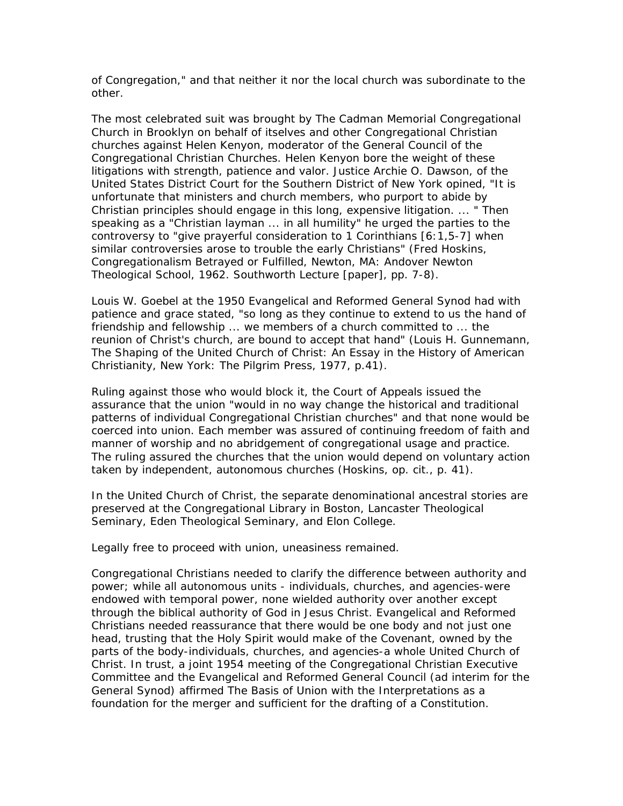of Congregation," and that neither it nor the local church was subordinate to the other.

The most celebrated suit was brought by The Cadman Memorial Congregational Church in Brooklyn on behalf of itselves and other Congregational Christian churches against Helen Kenyon, moderator of the General Council of the Congregational Christian Churches. Helen Kenyon bore the weight of these litigations with strength, patience and valor. Justice Archie O. Dawson, of the United States District Court for the Southern District of New York opined, "It is unfortunate that ministers and church members, who purport to abide by Christian principles should engage in this long, expensive litigation. ... " Then speaking as a "Christian layman ... in all humility" he urged the parties to the controversy to "give prayerful consideration to 1 Corinthians [6:1,5-7] when similar controversies arose to trouble the early Christians" (Fred Hoskins, Congregationalism Betrayed or Fulfilled, Newton, MA: Andover Newton Theological School, 1962. Southworth Lecture [paper], pp. 7-8).

Louis W. Goebel at the 1950 Evangelical and Reformed General Synod had with patience and grace stated, "so long as they continue to extend to us the hand of friendship and fellowship ... we members of a church committed to ... the reunion of Christ's church, are bound to accept that hand" (Louis H. Gunnemann, The Shaping of the United Church of Christ: An Essay in the History of American Christianity, New York: The Pilgrim Press, 1977, p.41).

Ruling against those who would block it, the Court of Appeals issued the assurance that the union "would in no way change the historical and traditional patterns of individual Congregational Christian churches" and that none would be coerced into union. Each member was assured of continuing freedom of faith and manner of worship and no abridgement of congregational usage and practice. The ruling assured the churches that the union would depend on voluntary action taken by independent, autonomous churches (Hoskins, op. cit., p. 41).

In the United Church of Christ, the separate denominational ancestral stories are preserved at the Congregational Library in Boston, Lancaster Theological Seminary, Eden Theological Seminary, and Elon College.

Legally free to proceed with union, uneasiness remained.

Congregational Christians needed to clarify the difference between authority and power; while all autonomous units - individuals, churches, and agencies-were endowed with temporal power, none wielded authority over another except through the biblical authority of God in Jesus Christ. Evangelical and Reformed Christians needed reassurance that there would be one body and not just one head, trusting that the Holy Spirit would make of the Covenant, owned by the parts of the body-individuals, churches, and agencies-a whole United Church of Christ. In trust, a joint 1954 meeting of the Congregational Christian Executive Committee and the Evangelical and Reformed General Council (ad interim for the General Synod) affirmed The Basis of Union with the Interpretations as a foundation for the merger and sufficient for the drafting of a Constitution.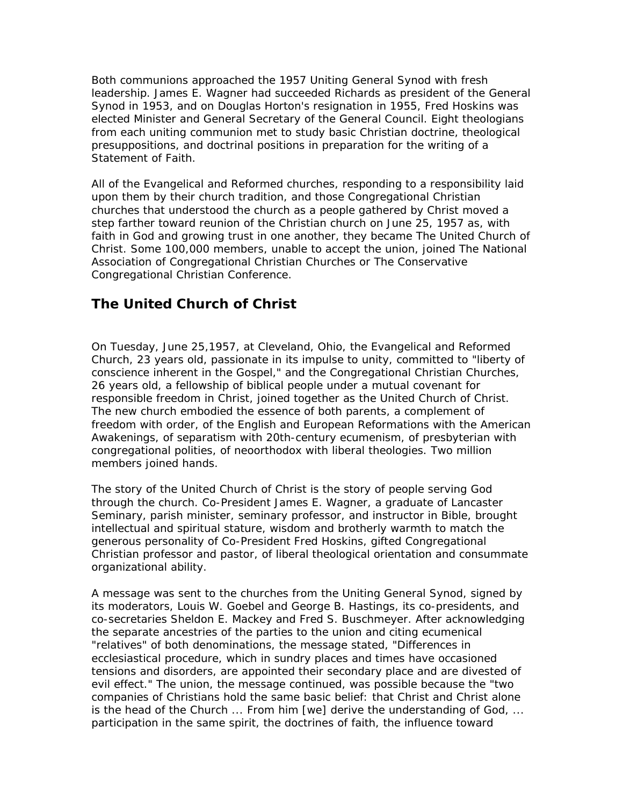Both communions approached the 1957 Uniting General Synod with fresh leadership. James E. Wagner had succeeded Richards as president of the General Synod in 1953, and on Douglas Horton's resignation in 1955, Fred Hoskins was elected Minister and General Secretary of the General Council. Eight theologians from each uniting communion met to study basic Christian doctrine, theological presuppositions, and doctrinal positions in preparation for the writing of a Statement of Faith.

All of the Evangelical and Reformed churches, responding to a responsibility laid upon them by their church tradition, and those Congregational Christian churches that understood the church as a people gathered by Christ moved a step farther toward reunion of the Christian church on June 25, 1957 as, with faith in God and growing trust in one another, they became The United Church of Christ. Some 100,000 members, unable to accept the union, joined The National Association of Congregational Christian Churches or The Conservative Congregational Christian Conference.

# **The United Church of Christ**

On Tuesday, June 25,1957, at Cleveland, Ohio, the Evangelical and Reformed Church, 23 years old, passionate in its impulse to unity, committed to "liberty of conscience inherent in the Gospel," and the Congregational Christian Churches, 26 years old, a fellowship of biblical people under a mutual covenant for responsible freedom in Christ, joined together as the United Church of Christ. The new church embodied the essence of both parents, a complement of freedom with order, of the English and European Reformations with the American Awakenings, of separatism with 20th-century ecumenism, of presbyterian with congregational polities, of neoorthodox with liberal theologies. Two million members joined hands.

The story of the United Church of Christ is the story of people serving God through the church. Co-President James E. Wagner, a graduate of Lancaster Seminary, parish minister, seminary professor, and instructor in Bible, brought intellectual and spiritual stature, wisdom and brotherly warmth to match the generous personality of Co-President Fred Hoskins, gifted Congregational Christian professor and pastor, of liberal theological orientation and consummate organizational ability.

A message was sent to the churches from the Uniting General Synod, signed by its moderators, Louis W. Goebel and George B. Hastings, its co-presidents, and co-secretaries Sheldon E. Mackey and Fred S. Buschmeyer. After acknowledging the separate ancestries of the parties to the union and citing ecumenical "relatives" of both denominations, the message stated, "Differences in ecclesiastical procedure, which in sundry places and times have occasioned tensions and disorders, are appointed their secondary place and are divested of evil effect." The union, the message continued, was possible because the "two companies of Christians hold the same basic belief: that Christ and Christ alone is the head of the Church ... From him [we] derive the understanding of God, ... participation in the same spirit, the doctrines of faith, the influence toward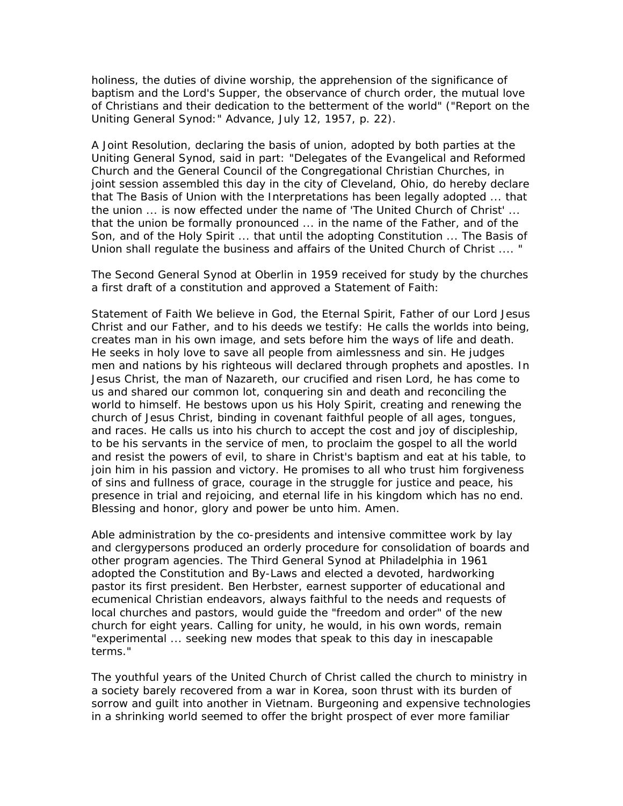holiness, the duties of divine worship, the apprehension of the significance of baptism and the Lord's Supper, the observance of church order, the mutual love of Christians and their dedication to the betterment of the world" ("Report on the Uniting General Synod:" Advance, July 12, 1957, p. 22).

A Joint Resolution, declaring the basis of union, adopted by both parties at the Uniting General Synod, said in part: "Delegates of the Evangelical and Reformed Church and the General Council of the Congregational Christian Churches, in joint session assembled this day in the city of Cleveland, Ohio, do hereby declare that The Basis of Union with the Interpretations has been legally adopted ... that the union ... is now effected under the name of 'The United Church of Christ' ... that the union be formally pronounced ... in the name of the Father, and of the Son, and of the Holy Spirit ... that until the adopting Constitution ... The Basis of Union shall regulate the business and affairs of the United Church of Christ .... "

The Second General Synod at Oberlin in 1959 received for study by the churches a first draft of a constitution and approved a Statement of Faith:

Statement of Faith We believe in God, the Eternal Spirit, Father of our Lord Jesus Christ and our Father, and to his deeds we testify: He calls the worlds into being, creates man in his own image, and sets before him the ways of life and death. He seeks in holy love to save all people from aimlessness and sin. He judges men and nations by his righteous will declared through prophets and apostles. In Jesus Christ, the man of Nazareth, our crucified and risen Lord, he has come to us and shared our common lot, conquering sin and death and reconciling the world to himself. He bestows upon us his Holy Spirit, creating and renewing the church of Jesus Christ, binding in covenant faithful people of all ages, tongues, and races. He calls us into his church to accept the cost and joy of discipleship, to be his servants in the service of men, to proclaim the gospel to all the world and resist the powers of evil, to share in Christ's baptism and eat at his table, to join him in his passion and victory. He promises to all who trust him forgiveness of sins and fullness of grace, courage in the struggle for justice and peace, his presence in trial and rejoicing, and eternal life in his kingdom which has no end. Blessing and honor, glory and power be unto him. Amen.

Able administration by the co-presidents and intensive committee work by lay and clergypersons produced an orderly procedure for consolidation of boards and other program agencies. The Third General Synod at Philadelphia in 1961 adopted the Constitution and By-Laws and elected a devoted, hardworking pastor its first president. Ben Herbster, earnest supporter of educational and ecumenical Christian endeavors, always faithful to the needs and requests of local churches and pastors, would guide the "freedom and order" of the new church for eight years. Calling for unity, he would, in his own words, remain "experimental ... seeking new modes that speak to this day in inescapable terms."

The youthful years of the United Church of Christ called the church to ministry in a society barely recovered from a war in Korea, soon thrust with its burden of sorrow and guilt into another in Vietnam. Burgeoning and expensive technologies in a shrinking world seemed to offer the bright prospect of ever more familiar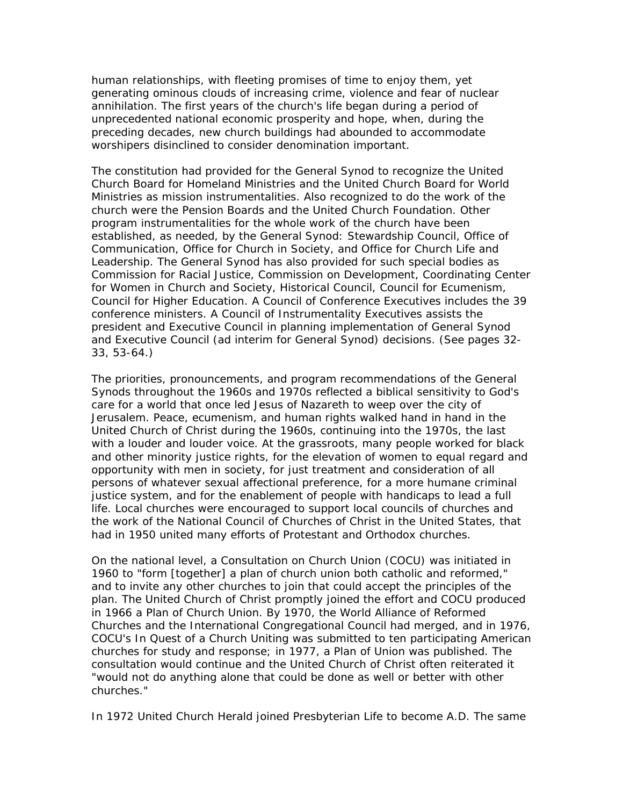human relationships, with fleeting promises of time to enjoy them, yet generating ominous clouds of increasing crime, violence and fear of nuclear annihilation. The first years of the church's life began during a period of unprecedented national economic prosperity and hope, when, during the preceding decades, new church buildings had abounded to accommodate worshipers disinclined to consider denomination important.

The constitution had provided for the General Synod to recognize the United Church Board for Homeland Ministries and the United Church Board for World Ministries as mission instrumentalities. Also recognized to do the work of the church were the Pension Boards and the United Church Foundation. Other program instrumentalities for the whole work of the church have been established, as needed, by the General Synod: Stewardship Council, Office of Communication, Office for Church in Society, and Office for Church Life and Leadership. The General Synod has also provided for such special bodies as Commission for Racial Justice, Commission on Development, Coordinating Center for Women in Church and Society, Historical Council, Council for Ecumenism, Council for Higher Education. A Council of Conference Executives includes the 39 conference ministers. A Council of Instrumentality Executives assists the president and Executive Council in planning implementation of General Synod and Executive Council (ad interim for General Synod) decisions. (See pages 32- 33, 53-64.)

The priorities, pronouncements, and program recommendations of the General Synods throughout the 1960s and 1970s reflected a biblical sensitivity to God's care for a world that once led Jesus of Nazareth to weep over the city of Jerusalem. Peace, ecumenism, and human rights walked hand in hand in the United Church of Christ during the 1960s, continuing into the 1970s, the last with a louder and louder voice. At the grassroots, many people worked for black and other minority justice rights, for the elevation of women to equal regard and opportunity with men in society, for just treatment and consideration of all persons of whatever sexual affectional preference, for a more humane criminal justice system, and for the enablement of people with handicaps to lead a full life. Local churches were encouraged to support local councils of churches and the work of the National Council of Churches of Christ in the United States, that had in 1950 united many efforts of Protestant and Orthodox churches.

On the national level, a Consultation on Church Union (COCU) was initiated in 1960 to "form [together] a plan of church union both catholic and reformed," and to invite any other churches to join that could accept the principles of the plan. The United Church of Christ promptly joined the effort and COCU produced in 1966 a Plan of Church Union. By 1970, the World Alliance of Reformed Churches and the International Congregational Council had merged, and in 1976, COCU's In Quest of a Church Uniting was submitted to ten participating American churches for study and response; in 1977, a Plan of Union was published. The consultation would continue and the United Church of Christ often reiterated it "would not do anything alone that could be done as well or better with other churches."

In 1972 United Church Herald joined Presbyterian Life to become A.D. The same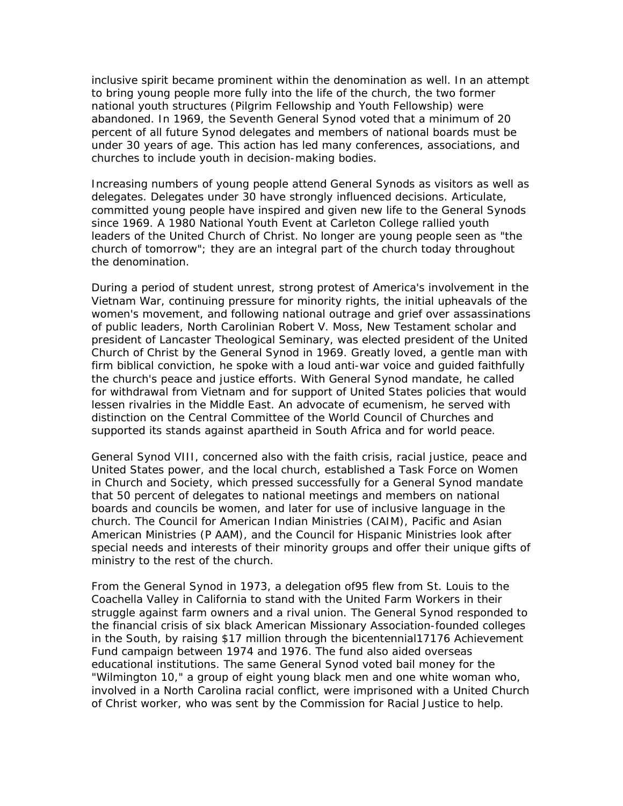inclusive spirit became prominent within the denomination as well. In an attempt to bring young people more fully into the life of the church, the two former national youth structures (Pilgrim Fellowship and Youth Fellowship) were abandoned. In 1969, the Seventh General Synod voted that a minimum of 20 percent of all future Synod delegates and members of national boards must be under 30 years of age. This action has led many conferences, associations, and churches to include youth in decision-making bodies.

Increasing numbers of young people attend General Synods as visitors as well as delegates. Delegates under 30 have strongly influenced decisions. Articulate, committed young people have inspired and given new life to the General Synods since 1969. A 1980 National Youth Event at Carleton College rallied youth leaders of the United Church of Christ. No longer are young people seen as "the church of tomorrow"; they are an integral part of the church today throughout the denomination.

During a period of student unrest, strong protest of America's involvement in the Vietnam War, continuing pressure for minority rights, the initial upheavals of the women's movement, and following national outrage and grief over assassinations of public leaders, North Carolinian Robert V. Moss, New Testament scholar and president of Lancaster Theological Seminary, was elected president of the United Church of Christ by the General Synod in 1969. Greatly loved, a gentle man with firm biblical conviction, he spoke with a loud anti-war voice and guided faithfully the church's peace and justice efforts. With General Synod mandate, he called for withdrawal from Vietnam and for support of United States policies that would lessen rivalries in the Middle East. An advocate of ecumenism, he served with distinction on the Central Committee of the World Council of Churches and supported its stands against apartheid in South Africa and for world peace.

General Synod VIII, concerned also with the faith crisis, racial justice, peace and United States power, and the local church, established a Task Force on Women in Church and Society, which pressed successfully for a General Synod mandate that 50 percent of delegates to national meetings and members on national boards and councils be women, and later for use of inclusive language in the church. The Council for American Indian Ministries (CAIM), Pacific and Asian American Ministries (P AAM), and the Council for Hispanic Ministries look after special needs and interests of their minority groups and offer their unique gifts of ministry to the rest of the church.

From the General Synod in 1973, a delegation of95 flew from St. Louis to the Coachella Valley in California to stand with the United Farm Workers in their struggle against farm owners and a rival union. The General Synod responded to the financial crisis of six black American Missionary Association-founded colleges in the South, by raising \$17 million through the bicentennial17176 Achievement Fund campaign between 1974 and 1976. The fund also aided overseas educational institutions. The same General Synod voted bail money for the "Wilmington 10," a group of eight young black men and one white woman who, involved in a North Carolina racial conflict, were imprisoned with a United Church of Christ worker, who was sent by the Commission for Racial Justice to help.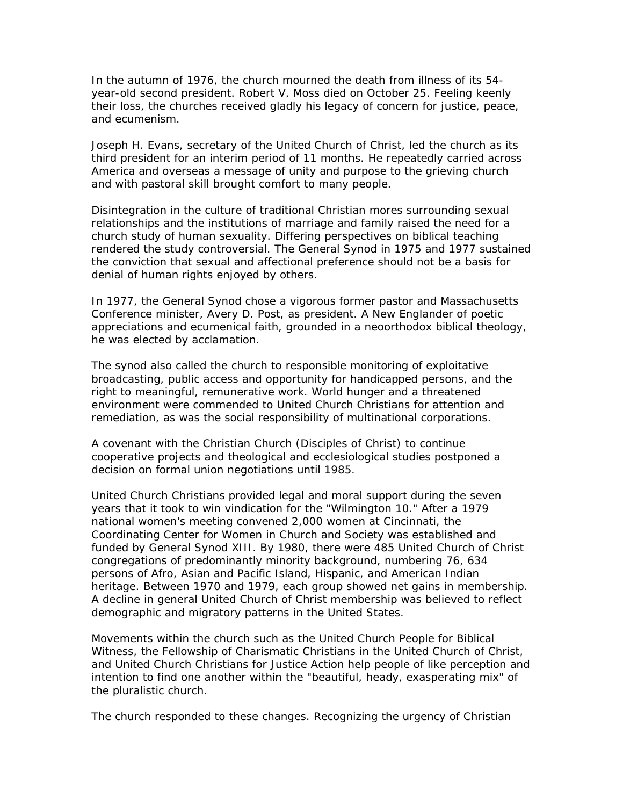In the autumn of 1976, the church mourned the death from illness of its 54 year-old second president. Robert V. Moss died on October 25. Feeling keenly their loss, the churches received gladly his legacy of concern for justice, peace, and ecumenism.

Joseph H. Evans, secretary of the United Church of Christ, led the church as its third president for an interim period of 11 months. He repeatedly carried across America and overseas a message of unity and purpose to the grieving church and with pastoral skill brought comfort to many people.

Disintegration in the culture of traditional Christian mores surrounding sexual relationships and the institutions of marriage and family raised the need for a church study of human sexuality. Differing perspectives on biblical teaching rendered the study controversial. The General Synod in 1975 and 1977 sustained the conviction that sexual and affectional preference should not be a basis for denial of human rights enjoyed by others.

In 1977, the General Synod chose a vigorous former pastor and Massachusetts Conference minister, Avery D. Post, as president. A New Englander of poetic appreciations and ecumenical faith, grounded in a neoorthodox biblical theology, he was elected by acclamation.

The synod also called the church to responsible monitoring of exploitative broadcasting, public access and opportunity for handicapped persons, and the right to meaningful, remunerative work. World hunger and a threatened environment were commended to United Church Christians for attention and remediation, as was the social responsibility of multinational corporations.

A covenant with the Christian Church (Disciples of Christ) to continue cooperative projects and theological and ecclesiological studies postponed a decision on formal union negotiations until 1985.

United Church Christians provided legal and moral support during the seven years that it took to win vindication for the "Wilmington 10." After a 1979 national women's meeting convened 2,000 women at Cincinnati, the Coordinating Center for Women in Church and Society was established and funded by General Synod XIII. By 1980, there were 485 United Church of Christ congregations of predominantly minority background, numbering 76, 634 persons of Afro, Asian and Pacific Island, Hispanic, and American Indian heritage. Between 1970 and 1979, each group showed net gains in membership. A decline in general United Church of Christ membership was believed to reflect demographic and migratory patterns in the United States.

Movements within the church such as the United Church People for Biblical Witness, the Fellowship of Charismatic Christians in the United Church of Christ, and United Church Christians for Justice Action help people of like perception and intention to find one another within the "beautiful, heady, exasperating mix" of the pluralistic church.

The church responded to these changes. Recognizing the urgency of Christian